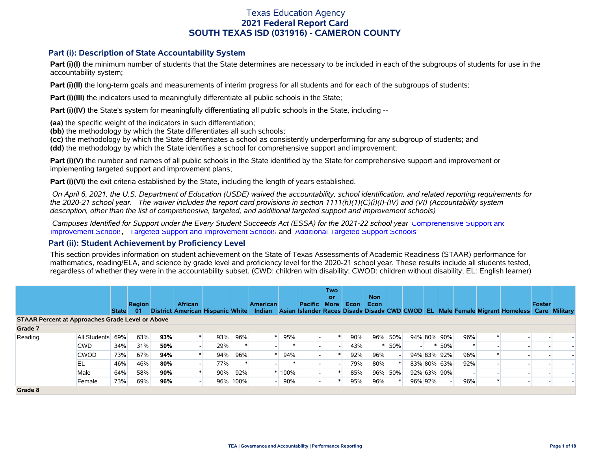### **Part (i): Description of State Accountability System**

Part (i)(I) the minimum number of students that the State determines are necessary to be included in each of the subgroups of students for use in the accountability system;

**Part (i)(II)** the long-term goals and measurements of interim progress for all students and for each of the subgroups of students;

**Part (i)(III)** the indicators used to meaningfully differentiate all public schools in the State;

**Part (i)(IV)** the State's system for meaningfully differentiating all public schools in the State, including --

**(aa)** the specific weight of the indicators in such differentiation;

**(bb)** the methodology by which the State differentiates all such schools;

**(cc)** the methodology by which the State differentiates a school as consistently underperforming for any subgroup of students; and

**(dd)** the methodology by which the State identifies a school for comprehensive support and improvement;

**Part (i)(V)** the number and names of all public schools in the State identified by the State for comprehensive support and improvement or implementing targeted support and improvement plans;

**Part (i)(VI)** the exit criteria established by the State, including the length of years established.

 *On April 6, 2021, the U.S. Department of Education (USDE) waived the accountability, school identification, and related reporting requirements for the 2020-21 school year. The waiver includes the report card provisions in section 1111(h)(1)(C)(i)(I)-(IV) and (VI) (Accountability system description, other than the list of comprehensive, targeted, and additional targeted support and improvement schools)* 

 *Campuses Identified for Support under the Every Student Succeeds Act (ESSA) for the 2021-22 school year:* [Comprehensive Support and](https://tea.texas.gov/sites/default/files/comprehensive_support_2021.xlsx) [Improvement Schools](https://tea.texas.gov/sites/default/files/comprehensive_support_2021.xlsx), [Targeted Support and Improvement Schools](https://tea.texas.gov/sites/default/files/targeted_support_2021.xlsx) and [Additional Targeted Support Schools.](https://tea.texas.gov/sites/default/files/additional_targeted_support_2021.xlsx)

#### **Part (ii): Student Achievement by Proficiency Level**

This section provides information on student achievement on the State of Texas Assessments of Academic Readiness (STAAR) performance for mathematics, reading/ELA, and science by grade level and proficiency level for the 2020-21 school year. These results include all students tested, regardless of whether they were in the accountability subset. (CWD: children with disability; CWOD: children without disability; EL: English learner)

|                                                         |                  |              |               |     |                                  |     |          |                 |         |                | <b>Two</b><br>or |             | <b>Non</b> |         |                          |         |             |     |                                                                                    |        |               |
|---------------------------------------------------------|------------------|--------------|---------------|-----|----------------------------------|-----|----------|-----------------|---------|----------------|------------------|-------------|------------|---------|--------------------------|---------|-------------|-----|------------------------------------------------------------------------------------|--------|---------------|
|                                                         |                  |              | <b>Region</b> |     | <b>African</b>                   |     |          | <b>American</b> |         | <b>Pacific</b> | <b>More</b>      | <b>Econ</b> | Econ       |         |                          |         |             |     |                                                                                    | Foster |               |
|                                                         |                  | <b>State</b> | -01           |     | District American Hispanic White |     |          |                 |         |                |                  |             |            |         |                          |         |             |     | Indian Asian Islander Races Disady Disady CWD CWOD EL Male Female Migrant Homeless |        | Care Military |
| <b>STAAR Percent at Approaches Grade Level or Above</b> |                  |              |               |     |                                  |     |          |                 |         |                |                  |             |            |         |                          |         |             |     |                                                                                    |        |               |
| Grade 7                                                 |                  |              |               |     |                                  |     |          |                 |         |                |                  |             |            |         |                          |         |             |     |                                                                                    |        |               |
| Reading                                                 | All Students 69% |              | 63%           | 93% |                                  | 93% | 96%      |                 | 95%     |                |                  | 90%         |            | 96% 50% |                          |         | 94% 80% 90% | 96% |                                                                                    |        |               |
|                                                         | CWD.             | 34%          | 31%           | 50% |                                  | 29% |          |                 |         |                |                  | 43%         |            | 50%     | $\overline{\phantom{0}}$ |         | 50%         |     |                                                                                    |        |               |
|                                                         | <b>CWOD</b>      | 73%          | 67%           | 94% |                                  | 94% | 96%      |                 | 94%     |                |                  | 92%         | 96%        |         |                          |         | 94% 83% 92% | 96% |                                                                                    |        |               |
|                                                         | EL               | 46%          | 46%           | 80% |                                  | 77% |          |                 |         |                |                  | 79%         | 80%        |         |                          |         | 83% 80% 63% | 92% |                                                                                    |        |               |
|                                                         | Male             | 64%          | 58%           | 90% |                                  | 90% | 92%      |                 | $*100%$ |                |                  | 85%         |            | 96% 50% |                          |         | 92% 63% 90% |     |                                                                                    |        |               |
|                                                         | Female           | 73%          | 69%           | 96% |                                  |     | 96% 100% |                 | 90%     |                |                  | 95%         | 96%        |         |                          | 96% 92% |             | 96% |                                                                                    |        |               |
| Grade 8                                                 |                  |              |               |     |                                  |     |          |                 |         |                |                  |             |            |         |                          |         |             |     |                                                                                    |        |               |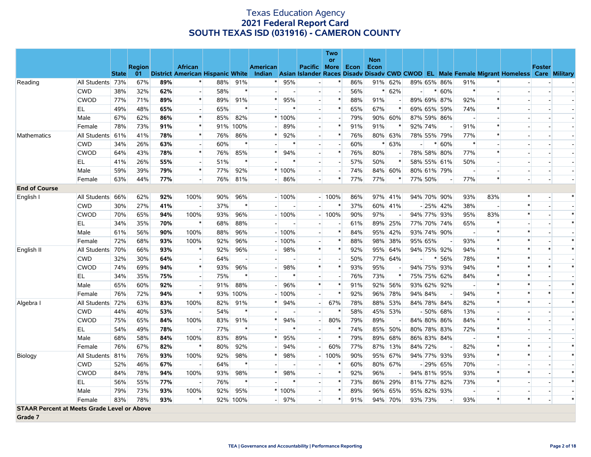|                                                    |                  |              |               |     |                          |     |                |                 |          |                          | Two<br>or      |      | <b>Non</b> |                |                          |             |             |                          |        |                                                                                                                                   |               |        |
|----------------------------------------------------|------------------|--------------|---------------|-----|--------------------------|-----|----------------|-----------------|----------|--------------------------|----------------|------|------------|----------------|--------------------------|-------------|-------------|--------------------------|--------|-----------------------------------------------------------------------------------------------------------------------------------|---------------|--------|
|                                                    |                  |              | <b>Region</b> |     | <b>African</b>           |     |                | <b>American</b> |          | Pacific More             |                | Econ | Econ       |                |                          |             |             |                          |        |                                                                                                                                   | <b>Foster</b> |        |
|                                                    |                  | <b>State</b> | 01            |     |                          |     |                |                 |          |                          |                |      |            |                |                          |             |             |                          |        | District American Hispanic White Indian Asian Islander Races Disady Disady CWD CWOD EL Male Female Migrant Homeless Care Military |               |        |
| Reading                                            | All Students 73% |              | 67%           | 89% |                          | 88% | 91%            |                 | 95%      |                          | $\ast$         | 86%  |            | 91% 62%        |                          |             | 89% 65% 86% | 91%                      |        |                                                                                                                                   |               |        |
|                                                    | <b>CWD</b>       | 38%          | 32%           | 62% |                          | 58% | $\ast$         |                 |          | $\overline{\phantom{a}}$ |                | 56%  |            | $* 62%$        |                          |             | $* 60%$     | $\ast$                   |        |                                                                                                                                   |               |        |
|                                                    | <b>CWOD</b>      | 77%          | 71%           | 89% | $\ast$                   | 89% | 91%            | *               | 95%      | $\overline{a}$           | $\ast$         | 88%  | 91%        |                |                          |             | 89% 69% 87% | 92%                      | $\ast$ |                                                                                                                                   |               |        |
|                                                    | EL               | 49%          | 48%           | 65% | $\overline{\phantom{a}}$ | 65% | $\ast$         |                 |          | $\overline{\phantom{a}}$ | $\ast$         | 65%  | 67%        |                |                          |             | 69% 65% 59% | 74%                      |        |                                                                                                                                   |               |        |
|                                                    | Male             | 67%          | 62%           | 86% | $\ast$                   | 85% | 82%            |                 | $*100%$  | $\overline{a}$           | $\overline{a}$ | 79%  |            | 90% 60%        |                          |             | 87% 59% 86% |                          |        |                                                                                                                                   |               |        |
|                                                    | Female           | 78%          | 73%           | 91% | $\ast$                   | 91% | 100%           |                 | 89%      | $\overline{a}$           | $\ast$         | 91%  | 91%        | ∗              | 92% 74%                  |             |             | 91%                      | $\ast$ |                                                                                                                                   |               |        |
| <b>Mathematics</b>                                 | All Students 61% |              | 41%           | 78% | $\ast$                   | 76% | 86%            |                 | 92%      | $\blacksquare$           | $\ast$         | 76%  |            | 80% 63%        |                          |             | 78% 55% 79% | 77%                      |        |                                                                                                                                   |               |        |
|                                                    | <b>CWD</b>       | 34%          | 26%           | 63% | $\overline{\phantom{a}}$ | 60% | $\ast$         |                 |          | $\overline{a}$           |                | 60%  |            | $* 63%$        | $\overline{\phantom{a}}$ | $\ast$      | 60%         | $\ast$                   |        |                                                                                                                                   |               | $\sim$ |
|                                                    | <b>CWOD</b>      | 64%          | 43%           | 78% | $\ast$                   | 76% | 85%            |                 | 94%      | $\overline{\phantom{a}}$ | $\ast$         | 76%  | 80%        |                |                          | 78% 58% 80% |             | 77%                      |        |                                                                                                                                   |               |        |
|                                                    | EL               | 41%          | 26%           | 55% |                          | 51% | $\ast$         |                 |          | $\overline{a}$           | $\overline{a}$ | 57%  | 50%        | $\ast$         |                          |             | 58% 55% 61% | 50%                      |        |                                                                                                                                   |               |        |
|                                                    | Male             | 59%          | 39%           | 79% | $\ast$                   | 77% | 92%            |                 | $*100%$  | $\overline{a}$           | $\sim$         | 74%  |            | 84% 60%        |                          |             | 80% 61% 79% | $\overline{a}$           |        |                                                                                                                                   |               |        |
|                                                    | Female           | 63%          | 44%           | 77% |                          | 76% | 81%            |                 | 86%      | $\overline{\phantom{a}}$ | $\ast$         | 77%  | 77%        | ∗              | 77% 50%                  |             |             | 77%                      | $\ast$ |                                                                                                                                   |               |        |
| <b>End of Course</b>                               |                  |              |               |     |                          |     |                |                 |          |                          |                |      |            |                |                          |             |             |                          |        |                                                                                                                                   |               |        |
| English I                                          | All Students 66% |              | 62%           | 92% | 100%                     | 90% | 96%            |                 | $-100%$  |                          | $-100%$        | 86%  |            | 97% 41%        |                          |             | 94% 70% 90% | 93%                      | 83%    | $\ast$                                                                                                                            |               |        |
|                                                    | <b>CWD</b>       | 30%          | 27%           | 41% |                          | 37% | $\ast$         |                 |          | $\overline{a}$           | $\ast$         | 37%  |            | 60% 41%        |                          | $-25%$ 42%  |             | 38%                      |        | $\ast$                                                                                                                            |               |        |
|                                                    | <b>CWOD</b>      | 70%          | 65%           | 94% | 100%                     | 93% | 96%            |                 | $-100%$  |                          | $-100%$        | 90%  | 97%        | $\blacksquare$ |                          | 94% 77%     | 93%         | 95%                      | 83%    | $\ast$                                                                                                                            |               | $\ast$ |
|                                                    | EL               | 34%          | 35%           | 70% | $\ast$                   | 68% | 88%            |                 |          |                          |                | 61%  |            | 89% 25%        |                          |             | 77% 70% 74% | 65%                      |        |                                                                                                                                   |               | $\ast$ |
|                                                    | Male             | 61%          | 56%           | 90% | 100%                     | 88% | 96%            |                 | $-100%$  | $\overline{a}$           | $\ast$         | 84%  |            | 95% 42%        |                          |             | 93% 74% 90% | $\overline{a}$           | $\ast$ | $\ast$                                                                                                                            |               |        |
|                                                    | Female           | 72%          | 68%           | 93% | 100%                     | 92% | 96%            |                 | $-100%$  | $\overline{\phantom{a}}$ | $\ast$         | 88%  |            | 98% 38%        | 95% 65%                  |             |             | 93%                      |        | $\ast$                                                                                                                            |               | $\ast$ |
| English II                                         | All Students 70% |              | 66%           | 93% | $\ast$                   | 92% | 96%            |                 | 98%      | $\ast$                   | $\ast$         | 92%  |            | 95% 64%        | 94% 75% 92%              |             |             | 94%                      |        | $\ast$                                                                                                                            |               | $\ast$ |
|                                                    | <b>CWD</b>       | 32%          | 30%           | 64% | $\overline{\phantom{a}}$ | 64% | $\overline{a}$ |                 |          | $\overline{\phantom{a}}$ | $\overline{a}$ | 50%  |            | 77% 64%        | $\overline{a}$           | ∗           | 56%         | 78%                      | $\ast$ | $\ast$                                                                                                                            |               |        |
|                                                    | <b>CWOD</b>      | 74%          | 69%           | 94% | $\ast$                   | 93% | 96%            |                 | 98%      | $\ast$                   | $\ast$         | 93%  | 95%        |                | 94% 75% 93%              |             |             | 94%                      | $\ast$ | $\ast$                                                                                                                            |               | $\ast$ |
|                                                    | EL               | 34%          | 35%           | 75% | $\overline{\phantom{a}}$ | 75% | $\ast$         |                 |          | $\overline{\phantom{a}}$ | $\overline{a}$ | 76%  | 73%        | *              |                          |             | 75% 75% 62% | 84%                      | $\ast$ | $\ast$                                                                                                                            |               |        |
|                                                    | Male             | 65%          | 60%           | 92% | $\overline{\phantom{a}}$ | 91% | 88%            |                 | 96%      | $\ast$                   | $\ast$         | 91%  |            | 92% 56%        |                          |             | 93% 62% 92% | $\overline{\phantom{a}}$ |        |                                                                                                                                   |               |        |
|                                                    | Female           | 76%          | 72%           | 94% | $\ast$                   |     | 93% 100%       |                 | 100%     | $\overline{a}$           | $\ast$         | 92%  |            | 96% 78%        | 94% 84%                  |             |             | 94%                      |        | $\ast$                                                                                                                            |               | $\ast$ |
| Algebra I                                          | All Students 72% |              | 63%           | 83% | 100%                     | 82% | 91%            | ∗               | 94%      | $\overline{a}$           | 67%            | 78%  |            | 88% 53%        |                          |             | 84% 78% 84% | 82%                      | $\ast$ | $\ast$                                                                                                                            |               | $\ast$ |
|                                                    | <b>CWD</b>       | 44%          | 40%           | 53% |                          | 54% | $\ast$         |                 |          | $\blacksquare$           |                | 58%  |            | 45% 53%        |                          | $-50%$      | 68%         | 13%                      |        |                                                                                                                                   |               |        |
|                                                    | <b>CWOD</b>      | 75%          | 65%           | 84% | 100%                     | 83% | 91%            |                 | 94%      | $\sim$                   | 80%            | 79%  | 89%        |                |                          | 84% 80% 86% |             | 84%                      | $\ast$ | $\ast$                                                                                                                            |               | $\ast$ |
|                                                    | EL               | 54%          | 49%           | 78% |                          | 77% | $\ast$         |                 |          |                          |                | 74%  |            | 85% 50%        |                          |             | 80% 78% 83% | 72%                      |        |                                                                                                                                   |               |        |
|                                                    | Male             | 68%          | 58%           | 84% | 100%                     | 83% | 89%            |                 | 95%      | $\overline{a}$           | $\ast$         | 79%  |            | 89% 68%        |                          |             | 86% 83% 84% |                          |        |                                                                                                                                   |               |        |
|                                                    | Female           | 76%          | 67%           | 82% | $\ast$                   | 80% | 92%            |                 | 94%      | $\overline{a}$           | 60%            | 77%  |            | 87% 13%        | 84% 72%                  |             |             | 82%                      | $\ast$ | $\ast$                                                                                                                            |               | $\ast$ |
| Biology                                            | All Students 81% |              | 76%           | 93% | 100%                     | 92% | 98%            |                 | 98%      |                          | $-100%$        | 90%  |            | 95% 67%        |                          |             | 94% 77% 93% | 93%                      | $\ast$ | $\ast$                                                                                                                            |               | $\ast$ |
|                                                    | <b>CWD</b>       | 52%          | 46%           | 67% |                          | 64% | $\ast$         |                 |          | $\overline{\phantom{a}}$ | $\ast$         | 60%  |            | 80% 67%        |                          |             | $-29\%$ 65% | 70%                      |        |                                                                                                                                   |               |        |
|                                                    | <b>CWOD</b>      | 84%          | 78%           | 94% | 100%                     | 93% | 98%            |                 | 98%      | $\overline{\phantom{a}}$ | $\ast$         | 92%  | 96%        |                |                          |             | 94% 81% 95% | 93%                      |        | $\ast$                                                                                                                            |               |        |
|                                                    | EL               | 56%          | 55%           | 77% |                          | 76% | $\ast$         |                 |          | $\overline{a}$           | $\ast$         | 73%  |            | 86% 29%        |                          |             | 81% 77% 82% | 73%                      | $\ast$ |                                                                                                                                   |               | $\ast$ |
|                                                    | Male             | 79%          | 73%           | 93% | 100%                     | 92% | 95%            |                 | $*100\%$ | $\blacksquare$           | $\ast$         | 89%  |            | 96% 65%        |                          |             | 95% 82% 93% | $\overline{a}$           |        |                                                                                                                                   |               |        |
|                                                    | Female           | 83%          | 78%           | 93% | $\ast$                   |     | 92% 100%       |                 | 97%      | $\overline{\phantom{a}}$ | $\ast$         | 91%  |            | 94% 70%        | 93% 73%                  |             |             | 93%                      | $\ast$ | $\ast$                                                                                                                            |               | $\ast$ |
| <b>STAAR Percent at Meets Grade Level or Above</b> |                  |              |               |     |                          |     |                |                 |          |                          |                |      |            |                |                          |             |             |                          |        |                                                                                                                                   |               |        |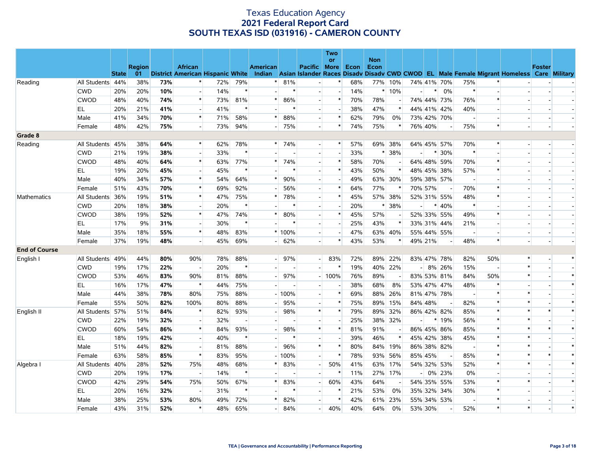|                      |                  |              |               |     |                                  |     |        |                 |         |                          | <b>Two</b><br><b>or</b> |      | <b>Non</b> |                          |                |        |            |                          |        |                                                                                                  |               |        |
|----------------------|------------------|--------------|---------------|-----|----------------------------------|-----|--------|-----------------|---------|--------------------------|-------------------------|------|------------|--------------------------|----------------|--------|------------|--------------------------|--------|--------------------------------------------------------------------------------------------------|---------------|--------|
|                      |                  |              | <b>Region</b> |     | <b>African</b>                   |     |        | <b>American</b> |         | <b>Pacific More</b>      |                         | Econ | Econ       |                          |                |        |            |                          |        |                                                                                                  | <b>Foster</b> |        |
|                      |                  | <b>State</b> | 01            |     | District American Hispanic White |     |        |                 |         |                          |                         |      |            |                          |                |        |            |                          |        | Indian Asian Islander Races Disady Disady CWD CWOD EL Male Female Migrant Homeless Care Military |               |        |
| Reading              | All Students 44% |              | 38%           | 73% |                                  | 72% | 79%    |                 | 81%     |                          | $\ast$                  | 68%  |            | 77% 10%                  | 74% 41% 70%    |        |            | 75%                      |        |                                                                                                  |               |        |
|                      | <b>CWD</b>       | 20%          | 20%           | 10% |                                  | 14% | $\ast$ |                 | $\ast$  | $\overline{\phantom{a}}$ |                         | 14%  |            | $*10%$                   |                | $*$    | 0%         | $\ast$                   |        |                                                                                                  |               |        |
|                      | <b>CWOD</b>      | 48%          | 40%           | 74% | $\ast$                           | 73% | 81%    |                 | 86%     | $\overline{a}$           | $\ast$                  | 70%  | 78%        |                          | 74% 44% 73%    |        |            | 76%                      |        |                                                                                                  |               |        |
|                      | EL               | 20%          | 21%           | 41% | $\overline{\phantom{a}}$         | 41% | $\ast$ |                 |         | $\overline{\phantom{a}}$ |                         | 38%  | 47%        | *                        | 44% 41% 42%    |        |            | 40%                      |        |                                                                                                  |               |        |
|                      | Male             | 41%          | 34%           | 70% | $\ast$                           | 71% | 58%    |                 | 88%     | $\overline{\phantom{a}}$ | $\ast$                  | 62%  | 79%        | 0%                       | 73% 42% 70%    |        |            |                          |        |                                                                                                  |               |        |
|                      | Female           | 48%          | 42%           | 75% |                                  | 73% | 94%    |                 | 75%     | $\overline{\phantom{a}}$ | $\ast$                  | 74%  | 75%        | $\ast$                   | 76% 40%        |        |            | 75%                      | $\ast$ |                                                                                                  |               |        |
| Grade 8              |                  |              |               |     |                                  |     |        |                 |         |                          |                         |      |            |                          |                |        |            |                          |        |                                                                                                  |               |        |
| Reading              | All Students 45% |              | 38%           | 64% | $\ast$                           | 62% | 78%    | $\ast$          | 74%     | $\overline{\phantom{a}}$ | $\ast$                  | 57%  |            | 69% 38%                  | 64% 45% 57%    |        |            | 70%                      | $\ast$ |                                                                                                  |               |        |
|                      | <b>CWD</b>       | 21%          | 19%           | 38% | $\sim$                           | 33% | $\ast$ |                 |         | $\sim$                   | $\overline{a}$          | 33%  |            | * 38%                    | $\overline{a}$ | $\ast$ | 30%        | $\ast$                   |        |                                                                                                  |               |        |
|                      | <b>CWOD</b>      | 48%          | 40%           | 64% | $\ast$                           | 63% | 77%    |                 | 74%     | $\overline{a}$           | $\ast$                  | 58%  | 70%        |                          | 64% 48% 59%    |        |            | 70%                      |        |                                                                                                  |               |        |
|                      | EL               | 19%          | 20%           | 45% |                                  | 45% | $\ast$ |                 |         | $\overline{a}$           | $\ast$                  | 43%  | 50%        | $\ast$                   | 48% 45% 38%    |        |            | 57%                      | $\ast$ |                                                                                                  |               |        |
|                      | Male             | 40%          | 34%           | 57% | $\ast$                           | 54% | 64%    |                 | 90%     | $\overline{\phantom{a}}$ |                         | 49%  |            | 63% 30%                  | 59% 38% 57%    |        |            | $\overline{\phantom{a}}$ |        |                                                                                                  |               |        |
|                      | Female           | 51%          | 43%           | 70% | $\ast$                           | 69% | 92%    |                 | 56%     | $\overline{\phantom{a}}$ | $\ast$                  | 64%  | 77%        | $\ast$                   | 70% 57%        |        |            | 70%                      |        |                                                                                                  |               |        |
| Mathematics          | All Students     | 36%          | 19%           | 51% | $\ast$                           | 47% | 75%    |                 | 78%     | $\overline{a}$           | *                       | 45%  |            | 57% 38%                  | 52% 31% 55%    |        |            | 48%                      |        |                                                                                                  |               |        |
|                      | <b>CWD</b>       | 20%          | 18%           | 38% |                                  | 20% | $\ast$ |                 |         | $\overline{\phantom{a}}$ |                         | 20%  | $\ast$     | 38%                      | $\overline{a}$ | $\ast$ | 40%        | $\ast$                   |        |                                                                                                  |               |        |
|                      | <b>CWOD</b>      | 38%          | 19%           | 52% | $\ast$                           | 47% | 74%    | $\ast$          | 80%     | $\overline{\phantom{0}}$ | $\ast$                  | 45%  | 57%        | $\overline{\phantom{a}}$ | 52% 33% 55%    |        |            | 49%                      | $\ast$ |                                                                                                  |               |        |
|                      | EL               | 17%          | 9%            | 31% |                                  | 30% | $\ast$ |                 |         | $\overline{\phantom{a}}$ |                         | 25%  | 43%        | $\ast$                   | 33% 31% 44%    |        |            | 21%                      |        |                                                                                                  |               |        |
|                      | Male             | 35%          | 18%           | 55% | $\ast$                           | 48% | 83%    |                 | $*100%$ | $\sim$                   |                         | 47%  |            | 63% 40%                  | 55% 44% 55%    |        |            |                          |        |                                                                                                  |               |        |
|                      | Female           | 37%          | 19%           | 48% |                                  | 45% | 69%    |                 | 62%     | $\overline{a}$           | $\ast$                  | 43%  | 53%        | $\ast$                   | 49% 21%        |        |            | 48%                      |        |                                                                                                  |               |        |
| <b>End of Course</b> |                  |              |               |     |                                  |     |        |                 |         |                          |                         |      |            |                          |                |        |            |                          |        |                                                                                                  |               |        |
| English I            | All Students 49% |              | 44%           | 80% | 90%                              | 78% | 88%    |                 | $-$ 97% | $\blacksquare$           | 83%                     | 72%  |            | 89% 22%                  | 83% 47% 78%    |        |            | 82%                      | 50%    | $\ast$                                                                                           |               | $\ast$ |
|                      | <b>CWD</b>       | 19%          | 17%           | 22% |                                  | 20% | $\ast$ |                 |         |                          |                         | 19%  |            | 40% 22%                  |                |        | $-8\%$ 26% | 15%                      |        | $\ast$                                                                                           |               |        |
|                      | <b>CWOD</b>      | 53%          | 46%           | 83% | 90%                              | 81% | 88%    |                 | 97%     |                          | $-100%$                 | 76%  | 89%        |                          | 83% 53% 81%    |        |            | 84%                      | 50%    | $\ast$                                                                                           |               | $\ast$ |
|                      | EL               | 16%          | 17%           | 47% | $\ast$                           | 44% | 75%    |                 |         |                          |                         | 38%  | 68%        | 8%                       | 53% 47% 47%    |        |            | 48%                      |        |                                                                                                  |               | $\ast$ |
|                      | Male             | 44%          | 38%           | 78% | 80%                              | 75% | 88%    |                 | $-100%$ | $\overline{\phantom{a}}$ | $\ast$                  | 69%  |            | 88% 26%                  | 81% 47% 78%    |        |            |                          |        | $\ast$                                                                                           |               |        |
|                      | Female           | 55%          | 50%           | 82% | 100%                             | 80% | 88%    |                 | 95%     | $\overline{\phantom{0}}$ | $\ast$                  | 75%  |            | 89% 15%                  | 84% 48%        |        |            | 82%                      | $\ast$ | $\ast$                                                                                           |               | $\ast$ |
| English II           | All Students 57% |              | 51%           | 84% | $\ast$                           | 82% | 93%    |                 | 98%     | $\ast$                   | *                       | 79%  |            | 89% 32%                  | 86% 42% 82%    |        |            | 85%                      |        | *                                                                                                |               | $\ast$ |
|                      | <b>CWD</b>       | 22%          | 19%           | 32% |                                  | 32% |        |                 |         | $\sim$                   |                         | 25%  |            | 38% 32%                  | $\overline{a}$ | $\ast$ | 19%        | 56%                      | $\ast$ | $\ast$                                                                                           |               |        |
|                      | <b>CWOD</b>      | 60%          | 54%           | 86% | $\ast$                           | 84% | 93%    |                 | 98%     | $\ast$                   | $\ast$                  | 81%  | 91%        |                          | 86% 45% 86%    |        |            | 85%                      |        |                                                                                                  |               | $\ast$ |
|                      | EL               | 18%          | 19%           | 42% |                                  | 40% | $\ast$ |                 |         | $\overline{a}$           |                         | 39%  | 46%        | $\ast$                   | 45% 42% 38%    |        |            | 45%                      |        | $\ast$                                                                                           |               |        |
|                      | Male             | 51%          | 44%           | 82% |                                  | 81% | 88%    |                 | 96%     | $\ast$                   | $\ast$                  | 80%  |            | 84% 19%                  | 86% 38% 82%    |        |            | $\overline{\phantom{a}}$ | $\ast$ | $\ast$                                                                                           |               | $\ast$ |
|                      | Female           | 63%          | 58%           | 85% | $\ast$                           | 83% | 95%    |                 | $-100%$ | $\overline{\phantom{a}}$ | $\ast$                  | 78%  |            | 93% 56%                  | 85% 45%        |        |            | 85%                      |        | $\ast$                                                                                           |               | $\ast$ |
| Algebra I            | All Students 40% |              | 28%           | 52% | 75%                              | 48% | 68%    |                 | 83%     | $\overline{a}$           | 50%                     | 41%  |            | 63% 17%                  | 54% 32% 53%    |        |            | 52%                      | $\ast$ | $\ast$                                                                                           |               | $\ast$ |
|                      | <b>CWD</b>       | 20%          | 19%           | 17% | $\overline{\phantom{a}}$         | 14% | $\ast$ |                 |         | $\sim$                   |                         | 11%  |            | 27% 17%                  |                |        | $-0\%$ 23% | 0%                       |        |                                                                                                  |               |        |
|                      | <b>CWOD</b>      | 42%          | 29%           | 54% | 75%                              | 50% | 67%    |                 | 83%     | $\overline{\phantom{a}}$ | 60%                     | 43%  | 64%        |                          | 54% 35% 55%    |        |            | 53%                      |        | $\ast$                                                                                           |               | $\ast$ |
|                      | EL.              | 20%          | 16%           | 32% |                                  | 31% | $\ast$ |                 |         | $\sim$                   | $\ast$                  | 21%  | 53%        | 0%                       | 35% 32%        |        | 34%        | 30%                      | $\ast$ |                                                                                                  |               |        |
|                      | Male             | 38%          | 25%           | 53% | 80%                              | 49% | 72%    |                 | 82%     |                          |                         | 42%  |            | 61% 23%                  | 55% 34% 53%    |        |            |                          |        |                                                                                                  |               |        |
|                      | Female           | 43%          | 31%           | 52% | $\ast$                           | 48% | 65%    |                 | 84%     | $\overline{a}$           | 40%                     | 40%  | 64%        | 0%                       | 53% 30%        |        |            | 52%                      | $\ast$ | $\ast$                                                                                           |               | $\ast$ |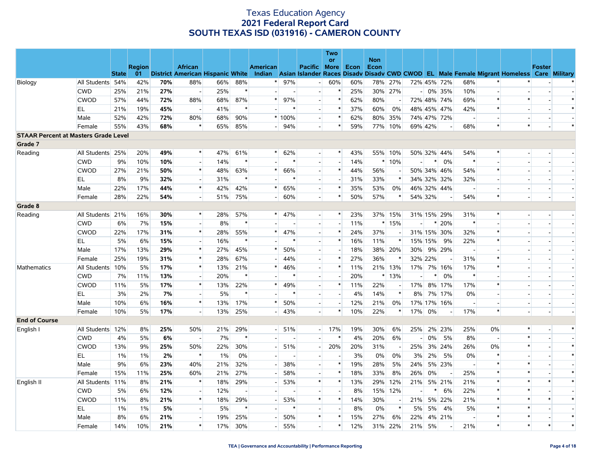|                                             |                  |              |               |     |                                     |     |                          |                 |                |                          | Two<br>or                |             | <b>Non</b> |                          |                          |        |            |                          |                          |                                                                                           |               |        |
|---------------------------------------------|------------------|--------------|---------------|-----|-------------------------------------|-----|--------------------------|-----------------|----------------|--------------------------|--------------------------|-------------|------------|--------------------------|--------------------------|--------|------------|--------------------------|--------------------------|-------------------------------------------------------------------------------------------|---------------|--------|
|                                             |                  |              | <b>Region</b> |     | <b>African</b>                      |     |                          | <b>American</b> |                | <b>Pacific</b>           | More                     | <b>Econ</b> | Econ       |                          |                          |        |            |                          |                          |                                                                                           | <b>Foster</b> |        |
|                                             |                  | <b>State</b> |               |     | 01 District American Hispanic White |     |                          | Indian          |                |                          |                          |             |            |                          |                          |        |            |                          |                          | Asian Islander Races Disady Disady CWD CWOD EL Male Female Migrant Homeless Care Military |               |        |
| Biology                                     | All Students 54% |              | 42%           | 70% | 88%                                 | 66% | 88%                      | $\ast$          | 97%            | $\overline{\phantom{a}}$ | 60%                      | 60%         | 78%        | 27%                      | 72% 45% 72%              |        |            | 68%                      | $\ast$                   |                                                                                           |               |        |
|                                             | <b>CWD</b>       | 25%          | 21%           | 27% | $\overline{\phantom{a}}$            | 25% | $\ast$                   |                 |                | $\overline{\phantom{a}}$ | $\ast$                   | 25%         | 30%        | 27%                      |                          |        | $-0\%$ 35% | 10%                      | $\overline{\phantom{a}}$ |                                                                                           |               |        |
|                                             | <b>CWOD</b>      | 57%          | 44%           | 72% | 88%                                 | 68% | 87%                      | $\ast$          | 97%            | $\blacksquare$           | $\ast$                   | 62%         | 80%        | $\overline{\phantom{a}}$ | 72% 48% 74%              |        |            | 69%                      | $\ast$                   | $\ast$                                                                                    |               | $\ast$ |
|                                             | EL               | 21%          | 19%           | 45% | $\overline{\phantom{a}}$            | 41% | $\ast$                   |                 |                | $\overline{\phantom{a}}$ | $\ast$                   | 37%         | 60%        | 0%                       | 48% 45% 47%              |        |            | 42%                      | $\ast$                   |                                                                                           |               | $\ast$ |
|                                             | Male             | 52%          | 42%           | 72% | 80%                                 | 68% | 90%                      |                 | $*100%$        | $\overline{\phantom{a}}$ | $\ast$                   | 62%         | 80%        | 35%                      | 74% 47% 72%              |        |            | $\overline{\phantom{a}}$ |                          |                                                                                           |               |        |
|                                             | Female           | 55%          | 43%           | 68% | $\ast$                              | 65% | 85%                      |                 | $-$ 94%        | $\overline{\phantom{a}}$ | $\ast$                   | 59%         |            | 77% 10%                  | 69% 42%                  |        |            | 68%                      | $\ast$                   | $\ast$                                                                                    |               | $\ast$ |
| <b>STAAR Percent at Masters Grade Level</b> |                  |              |               |     |                                     |     |                          |                 |                |                          |                          |             |            |                          |                          |        |            |                          |                          |                                                                                           |               |        |
| Grade 7                                     |                  |              |               |     |                                     |     |                          |                 |                |                          |                          |             |            |                          |                          |        |            |                          |                          |                                                                                           |               |        |
| Reading                                     | All Students 25% |              | 20%           | 49% | $\ast$                              | 47% | 61%                      | $*$             | 62%            | $\overline{\phantom{a}}$ | $*$                      | 43%         |            | 55% 10%                  | 50% 32% 44%              |        |            | 54%                      | $\ast$                   |                                                                                           |               |        |
|                                             | <b>CWD</b>       | 9%           | 10%           | 10% | $\overline{\phantom{a}}$            | 14% | $\ast$                   |                 | $\ast$         | $\blacksquare$           | $\overline{\phantom{a}}$ | 14%         |            | $*10%$                   | $\overline{\phantom{a}}$ | $\ast$ | 0%         | $\ast$                   |                          |                                                                                           |               |        |
|                                             | <b>CWOD</b>      | 27%          | 21%           | 50% | $\ast$                              | 48% | 63%                      | $\ast$          | 66%            | $\overline{a}$           | $\ast$                   | 44%         | 56%        |                          | 50% 34% 46%              |        |            | 54%                      | $\ast$                   |                                                                                           |               |        |
|                                             | EL               | 8%           | 9%            | 32% | $\sim$                              | 31% | $\ast$                   |                 |                | $\overline{\phantom{a}}$ | $\sim$                   | 31%         | 33%        | $\ast$                   | 34% 32% 32%              |        |            | 32%                      | $\overline{a}$           |                                                                                           |               |        |
|                                             | Male             | 22%          | 17%           | 44% | $\ast$                              | 42% | 42%                      | $\ast$          | 65%            | $\overline{\phantom{a}}$ | $\ast$                   | 35%         | 53%        | $0\%$                    | 46% 32% 44%              |        |            |                          |                          |                                                                                           |               |        |
|                                             | Female           | 28%          | 22%           | 54% | $\overline{\phantom{a}}$            | 51% | 75%                      |                 | 60%            | $\overline{\phantom{a}}$ | $\ast$                   | 50%         | 57%        | $\ast$                   | 54% 32%                  |        |            | 54%                      | $\ast$                   |                                                                                           |               |        |
| Grade 8                                     |                  |              |               |     |                                     |     |                          |                 |                |                          |                          |             |            |                          |                          |        |            |                          |                          |                                                                                           |               |        |
| Reading                                     | All Students 21% |              | 16%           | 30% | $\ast$                              | 28% | 57%                      | $\ast$          | 47%            | $\overline{a}$           | $\ast$                   | 23%         |            | 37% 15%                  | 31% 15% 29%              |        |            | 31%                      | $\ast$                   | $\sim$                                                                                    |               |        |
|                                             | <b>CWD</b>       | 6%           | 7%            | 15% | $\overline{\phantom{a}}$            | 8%  | $\ast$                   |                 |                | $\overline{\phantom{a}}$ | $\overline{\phantom{a}}$ | 11%         |            | $*15%$                   | $\overline{\phantom{a}}$ |        | $* 20%$    | $\ast$                   |                          |                                                                                           |               |        |
|                                             | <b>CWOD</b>      | 22%          | 17%           | 31% | $\ast$                              | 28% | 55%                      | $\ast$          | 47%            | $\overline{\phantom{a}}$ | $\ast$                   | 24%         | 37%        |                          | 31% 15% 30%              |        |            | 32%                      | $\ast$                   |                                                                                           |               |        |
|                                             | EL               | 5%           | 6%            | 15% | $\overline{a}$                      | 16% | $\ast$                   |                 |                | $\overline{\phantom{a}}$ | $\ast$                   | 16%         | 11%        | $\ast$                   | 15% 15%                  |        | 9%         | 22%                      | $\ast$                   |                                                                                           |               |        |
|                                             | Male             | 17%          | 13%           | 29% | $\ast$                              | 27% | 45%                      |                 | 50%            | $\overline{\phantom{a}}$ | $\overline{\phantom{a}}$ | 18%         |            | 38% 20%                  | $30\%$                   |        | 9% 29%     |                          |                          |                                                                                           |               |        |
|                                             | Female           | 25%          | 19%           | 31% | $\ast$                              | 28% | 67%                      |                 | 44%            | $\overline{a}$           | $\ast$                   | 27%         | 36%        | $\ast$                   | 32% 22%                  |        |            | 31%                      | $\ast$                   |                                                                                           |               |        |
| Mathematics                                 | All Students 10% |              | 5%            | 17% | $\ast$                              | 13% | 21%                      | $\ast$          | 46%            | $\overline{\phantom{a}}$ | $\ast$                   | 11%         |            | 21% 13%                  | 17% 7% 16%               |        |            | 17%                      | $\ast$                   |                                                                                           |               |        |
|                                             | <b>CWD</b>       | 7%           | 11%           | 13% | $\sim$                              | 20% | $\ast$                   |                 |                | $\overline{\phantom{a}}$ | $\overline{\phantom{a}}$ | 20%         |            | * 13%                    |                          |        | 0%         | $\ast$                   |                          |                                                                                           |               |        |
|                                             | <b>CWOD</b>      | 11%          | 5%            | 17% | $\ast$                              | 13% | 22%                      | $\ast$          | 49%            | $\blacksquare$           | $\ast$                   | 11%         | 22%        |                          | 17%                      |        | 8% 17%     | 17%                      | $\ast$                   |                                                                                           |               |        |
|                                             | EL               | 3%           | 2%            | 7%  | $\overline{\phantom{a}}$            | 5%  | $\ast$                   |                 |                | $\overline{\phantom{a}}$ | $\overline{a}$           | 4%          | 14%        | $\ast$                   | 8%                       | 7%     | 17%        | $0\%$                    |                          |                                                                                           |               |        |
|                                             | Male             | 10%          | 6%            | 16% | $\ast$                              | 13% | 17%                      | $\ast$          | 50%            | $\blacksquare$           | $\overline{a}$           | 12%         | 21%        | 0%                       | 17% 17% 16%              |        |            |                          |                          |                                                                                           |               |        |
|                                             | Female           | 10%          | 5%            | 17% | $\overline{\phantom{a}}$            | 13% | 25%                      |                 | 43%            | $\overline{\phantom{a}}$ | $\ast$                   | 10%         | 22%        | $\ast$                   | 17%                      | 0%     |            | 17%                      | $\ast$                   |                                                                                           |               |        |
| <b>End of Course</b>                        |                  |              |               |     |                                     |     |                          |                 |                |                          |                          |             |            |                          |                          |        |            |                          |                          |                                                                                           |               |        |
| English I                                   | All Students 12% |              | 8%            | 25% | 50%                                 | 21% | 29%                      |                 | 51%            | $\blacksquare$           | 17%                      | 19%         | 30%        | 6%                       | 25% 2% 23%               |        |            | 25%                      | $0\%$                    | $\ast$                                                                                    |               | $\ast$ |
|                                             | <b>CWD</b>       | 4%           | 5%            | 6%  | $\overline{\phantom{a}}$            | 7%  | $\ast$                   |                 | $\blacksquare$ | $\overline{a}$           | $\ast$                   | 4%          | 20%        | 6%                       |                          | 0%     | 5%         | 8%                       | $\overline{\phantom{a}}$ | $\ast$                                                                                    |               |        |
|                                             | <b>CWOD</b>      | 13%          | 9%            | 25% | 50%                                 | 22% | 30%                      |                 | 51%            | $\overline{\phantom{0}}$ | 20%                      | 20%         | 31%        |                          | 25%                      |        | 3% 24%     | 26%                      | 0%                       | $\ast$                                                                                    |               | $\ast$ |
|                                             | EL               | 1%           | 1%            | 2%  | $\ast$                              | 1%  | 0%                       |                 |                | $\overline{\phantom{a}}$ | $\overline{\phantom{a}}$ | 3%          | 0%         | 0%                       | 3%                       | 2%     | 5%         | $0\%$                    | $\ast$                   |                                                                                           |               | $\ast$ |
|                                             | Male             | 9%           | 6%            | 23% | 40%                                 | 21% | 32%                      |                 | 38%            | $\overline{\phantom{a}}$ | $\ast$                   | 19%         | 28%        | 5%                       | 24%                      |        | 5% 23%     |                          | $\ast$                   |                                                                                           |               |        |
|                                             | Female           | 15%          | 11%           | 25% | 60%                                 | 21% | 27%                      |                 | 58%            | $\blacksquare$           | $\ast$                   | 18%         | 33%        | 8%                       | 26%                      | 0%     |            | 25%                      | $\ast$                   |                                                                                           |               | $\ast$ |
| English II                                  | All Students 11% |              | 8%            | 21% | $\ast$                              | 18% | 29%                      |                 | 53%            | $\ast$                   | $\ast$                   | 13%         | 29%        | 12%                      | 21%                      |        | 5% 21%     | 21%                      | $\ast$                   | $\ast$                                                                                    |               | $\ast$ |
|                                             | <b>CWD</b>       | 5%           | 6%            | 12% | $\overline{\phantom{a}}$            | 12% | $\overline{\phantom{a}}$ |                 |                | $\blacksquare$           | $\blacksquare$           | 8%          | 15%        | 12%                      | $\blacksquare$           | $\ast$ | 6%         | 22%                      | $\ast$                   | $\ast$                                                                                    |               |        |
|                                             | <b>CWOD</b>      | 11%          | 8%            | 21% | $\ast$                              | 18% | 29%                      |                 | 53%            | $\ast$                   | $\ast$                   | 14%         | 30%        | $\overline{\phantom{a}}$ | 21%                      |        | 5% 22%     | 21%                      | *                        | $\ast$                                                                                    | $\ast$        | $\ast$ |
|                                             | EL               | 1%           | 1%            | 5%  | $\overline{\phantom{a}}$            | 5%  | $\ast$                   |                 | $\ast$         | $\overline{\phantom{a}}$ |                          | 8%          | 0%         | $\ast$                   | 5%                       | 5%     | 4%         | 5%                       | *                        | $\ast$                                                                                    |               |        |
|                                             | Male             | 8%           | 6%            | 21% | $\sim$                              | 19% | 25%                      |                 | 50%            | $\ast$                   | $\ast$                   | 15%         | 27%        | 6%                       | 22%                      |        | 4% 21%     | $\overline{\phantom{a}}$ | $\ast$                   | $\ast$                                                                                    |               | $\ast$ |
|                                             | Female           | 14%          | 10%           | 21% | $\ast$                              | 17% | 30%                      |                 | 55%            | $\overline{a}$           | $\ast$                   | 12%         | 31%        | 22%                      | 21%                      | 5%     |            | 21%                      | $\ast$                   | $\ast$                                                                                    | $\ast$        | $\ast$ |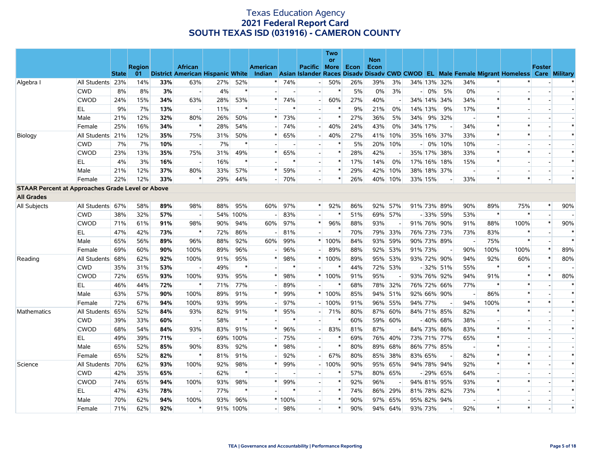|                                                         |                  |              |               |     |                                  |     |          |                 |      |                          | Two<br>or   |      | <b>Non</b> |                |         |        |                |                          |        |                                                                                                  |               |        |
|---------------------------------------------------------|------------------|--------------|---------------|-----|----------------------------------|-----|----------|-----------------|------|--------------------------|-------------|------|------------|----------------|---------|--------|----------------|--------------------------|--------|--------------------------------------------------------------------------------------------------|---------------|--------|
|                                                         |                  |              | <b>Region</b> |     | <b>African</b>                   |     |          | <b>American</b> |      | <b>Pacific</b>           | <b>More</b> | Econ | Econ       |                |         |        |                |                          |        |                                                                                                  | <b>Foster</b> |        |
|                                                         |                  | <b>State</b> | 01            |     | District American Hispanic White |     |          |                 |      |                          |             |      |            |                |         |        |                |                          |        | Indian Asian Islander Races Disady Disady CWD CWOD EL Male Female Migrant Homeless Care Military |               |        |
| Algebra I                                               | All Students 23% |              | 14%           | 33% | 63%                              | 27% | 52%      |                 | 74%  |                          | 50%         | 26%  | 39%        | 3%             |         |        | 34% 13% 32%    | 34%                      |        |                                                                                                  |               |        |
|                                                         | <b>CWD</b>       | 8%           | 8%            | 3%  |                                  | 4%  | $\ast$   |                 |      | $\overline{a}$           | $\ast$      | 5%   | 0%         | 3%             |         | $-10%$ | 5%             | 0%                       |        |                                                                                                  |               |        |
|                                                         | <b>CWOD</b>      | 24%          | 15%           | 34% | 63%                              | 28% | 53%      |                 | 74%  | $\overline{a}$           | 60%         | 27%  | 40%        | $\blacksquare$ | 34% 14% |        | 34%            | 34%                      | $\ast$ | $\ast$                                                                                           |               | $\ast$ |
|                                                         | EL               | 9%           | 7%            | 13% |                                  | 11% | $\ast$   |                 |      |                          | $\ast$      | 9%   | 21%        | 0%             | 14% 13% |        | 9%             | 17%                      |        |                                                                                                  |               |        |
|                                                         | Male             | 21%          | 12%           | 32% | 80%                              | 26% | 50%      | $\ast$          | 73%  | $\overline{a}$           | $\ast$      | 27%  | 36%        | 5%             | 34%     |        | 9% 32%         | $\overline{a}$           | $\ast$ |                                                                                                  |               |        |
|                                                         | Female           | 25%          | 16%           | 34% |                                  | 28% | 54%      |                 | 74%  | $\overline{a}$           | 40%         | 24%  | 43%        | 0%             | 34% 17% |        |                | 34%                      |        | $\ast$                                                                                           |               | $\ast$ |
| Biology                                                 | All Students 21% |              | 12%           | 35% | 75%                              | 31% | 50%      |                 | 65%  | $\overline{a}$           | 40%         | 27%  | 41%        | 10%            |         |        | 35% 16% 37%    | 33%                      |        | $\ast$                                                                                           |               | $\ast$ |
|                                                         | <b>CWD</b>       | 7%           | 7%            | 10% | $\overline{\phantom{a}}$         | 7%  | $\ast$   |                 |      | $\overline{\phantom{a}}$ | ∗           | 5%   |            | 20% 10%        |         |        | $-10\%$ 10%    | 10%                      |        |                                                                                                  |               |        |
|                                                         | <b>CWOD</b>      | 23%          | 13%           | 35% | 75%                              | 31% | 49%      |                 | 65%  | $\overline{\phantom{a}}$ | $\ast$      | 28%  | 42%        |                |         |        | 35% 17% 38%    | 33%                      |        | $\ast$                                                                                           |               | $\ast$ |
|                                                         | EL               | 4%           | 3%            | 16% |                                  | 16% | $\ast$   |                 |      | $\overline{a}$           | $\ast$      | 17%  | 14%        | 0%             |         |        | 17% 16% 18%    | 15%                      | $\ast$ |                                                                                                  |               | $\ast$ |
|                                                         | Male             | 21%          | 12%           | 37% | 80%                              | 33% | 57%      |                 | 59%  | $\overline{\phantom{a}}$ | $\ast$      | 29%  |            | 42% 10%        |         |        | 38% 18% 37%    |                          |        |                                                                                                  |               |        |
|                                                         | Female           | 22%          | 12%           | 33% | $\ast$                           | 29% | 44%      |                 | 70%  | $\overline{\phantom{a}}$ | $\ast$      | 26%  | 40%        | 10%            | 33% 15% |        |                | 33%                      | $\ast$ | $\ast$                                                                                           |               | $\ast$ |
| <b>STAAR Percent at Approaches Grade Level or Above</b> |                  |              |               |     |                                  |     |          |                 |      |                          |             |      |            |                |         |        |                |                          |        |                                                                                                  |               |        |
| <b>All Grades</b>                                       |                  |              |               |     |                                  |     |          |                 |      |                          |             |      |            |                |         |        |                |                          |        |                                                                                                  |               |        |
| All Subjects                                            | All Students 67% |              | 58%           | 89% | 98%                              | 88% | 95%      | 60%             | 97%  | $\ast$                   | 92%         | 86%  |            | 92% 57%        | 91% 73% |        | 89%            | 90%                      | 89%    | 75%                                                                                              | $\ast$        | 90%    |
|                                                         | <b>CWD</b>       | 38%          | 32%           | 57% |                                  |     | 54% 100% |                 | 83%  | $\overline{\phantom{a}}$ |             | 51%  |            | 69% 57%        |         | $-33%$ | 59%            | 53%                      | $\ast$ | $\ast$                                                                                           |               |        |
|                                                         | <b>CWOD</b>      | 71%          | 61%           | 91% | 98%                              | 90% | 94%      | 60%             | 97%  | $\ast$                   | 96%         | 88%  | 93%        |                |         |        | 91% 76% 90%    | 91%                      | 88%    | 100%                                                                                             | $\ast$        | 90%    |
|                                                         | EL               | 47%          | 42%           | 73% | $\ast$                           | 72% | 86%      |                 | 81%  |                          |             | 70%  |            | 79% 33%        |         |        | 76% 73% 73%    | 73%                      | 83%    | $\ast$                                                                                           |               | $\ast$ |
|                                                         | Male             | 65%          | 56%           | 89% | 96%                              | 88% | 92%      | 60%             | 99%  |                          | * 100%      | 84%  |            | 93% 59%        |         |        | 90% 73% 89%    |                          | 75%    | $\ast$                                                                                           |               | $\ast$ |
|                                                         | Female           | 69%          | 60%           | 90% | 100%                             | 89% | 96%      |                 | 96%  |                          | 89%         | 88%  |            | 92% 53%        | 91% 73% |        | $\overline{a}$ | 90%                      | 100%   | 100%                                                                                             | $\ast$        | 89%    |
| Reading                                                 | All Students 68% |              | 62%           | 92% | 100%                             | 91% | 95%      |                 | 98%  |                          | * 100%      | 89%  |            | 95% 53%        |         |        | 93% 72% 90%    | 94%                      | 92%    | 60%                                                                                              |               | 80%    |
|                                                         | <b>CWD</b>       | 35%          | 31%           | 53% |                                  | 49% | $\ast$   |                 |      |                          |             | 44%  |            | 72% 53%        |         |        | $-32\%$ 51%    | 55%                      |        | *                                                                                                |               |        |
|                                                         | <b>CWOD</b>      | 72%          | 65%           | 93% | 100%                             | 93% | 95%      |                 | 98%  |                          | * 100%      | 91%  | 95%        |                |         |        | 93% 76% 92%    | 94%                      | 91%    | $\ast$                                                                                           | $\ast$        | 80%    |
|                                                         | EL               | 46%          | 44%           | 72% | $\ast$                           | 71% | 77%      |                 | 89%  |                          | $\ast$      | 68%  |            | 78% 32%        |         |        | 76% 72% 66%    | 77%                      |        | $\ast$                                                                                           |               | $\ast$ |
|                                                         | Male             | 63%          | 57%           | 90% | 100%                             | 89% | 91%      |                 | 99%  |                          | * 100%      | 85%  |            | 94% 51%        |         |        | 92% 66% 90%    | $\sim$                   | 86%    | $\ast$                                                                                           |               | $\ast$ |
|                                                         | Female           | 72%          | 67%           | 94% | 100%                             | 93% | 99%      |                 | 97%  |                          | $-100%$     | 91%  |            | 96% 55%        | 94% 77% |        |                | 94%                      | 100%   | $\ast$                                                                                           |               | $\ast$ |
| Mathematics                                             | All Students 65% |              | 52%           | 84% | 93%                              | 82% | 91%      |                 | 95%  | $\overline{a}$           | 71%         | 80%  |            | 87% 60%        |         |        | 84% 71% 85%    | 82%                      |        | $\ast$                                                                                           |               | $\ast$ |
|                                                         | <b>CWD</b>       | 39%          | 33%           | 60% |                                  | 58% | $\ast$   |                 |      |                          |             | 60%  |            | 59% 60%        |         |        | $-40\%$ 68%    | 38%                      |        |                                                                                                  |               |        |
|                                                         | <b>CWOD</b>      | 68%          | 54%           | 84% | 93%                              | 83% | 91%      |                 | 96%  | $\overline{a}$           | 83%         | 81%  | 87%        |                |         |        | 84% 73% 86%    | 83%                      |        | $\ast$                                                                                           |               | $\ast$ |
|                                                         | EL               | 49%          | 39%           | 71% |                                  | 69% | 100%     |                 | 75%  | $\overline{a}$           | $\ast$      | 69%  |            | 76% 40%        |         |        | 73% 71% 77%    | 65%                      | $\ast$ |                                                                                                  |               |        |
|                                                         | Male             | 65%          | 52%           | 85% | 90%                              | 83% | 92%      |                 | 98%  | $\overline{a}$           | $\ast$      | 80%  |            | 89% 68%        |         |        | 86% 77% 85%    | $\overline{\phantom{a}}$ |        |                                                                                                  |               |        |
|                                                         | Female           | 65%          | 52%           | 82% | $\ast$                           | 81% | 91%      |                 | 92%  | $\overline{a}$           | 67%         | 80%  | 85%        | 38%            | 83% 65% |        |                | 82%                      |        | $\ast$                                                                                           |               | $\ast$ |
| Science                                                 | All Students 70% |              | 62%           | 93% | 100%                             | 92% | 98%      |                 | 99%  |                          | $-100%$     | 90%  |            | 95% 65%        |         |        | 94% 78% 94%    | 92%                      | $\ast$ | $\ast$                                                                                           |               | $\ast$ |
|                                                         | <b>CWD</b>       | 42%          | 35%           | 65% |                                  | 62% | $\ast$   |                 |      | $\overline{\phantom{a}}$ | $\ast$      | 57%  |            | 80% 65%        |         |        | $-29\%$ 65%    | 64%                      |        |                                                                                                  |               |        |
|                                                         | <b>CWOD</b>      | 74%          | 65%           | 94% | 100%                             | 93% | 98%      | *               | 99%  | $\sim$                   | $\ast$      | 92%  | 96%        | $\overline{a}$ | 94% 81% |        | 95%            | 93%                      | $\ast$ | $\ast$                                                                                           |               | $\ast$ |
|                                                         | EL               | 47%          | 43%           | 78% |                                  | 77% | $\ast$   |                 |      | $\overline{\phantom{a}}$ | $\ast$      | 74%  |            | 86% 29%        | 81% 78% |        | 82%            | 73%                      |        |                                                                                                  |               | $\ast$ |
|                                                         | Male             | 70%          | 62%           | 94% | 100%                             | 93% | 96%      |                 | 100% | $\overline{\phantom{a}}$ | $\ast$      | 90%  | 97%        | 65%            |         |        | 95% 82% 94%    | $\overline{a}$           |        |                                                                                                  |               |        |
|                                                         | Female           | 71%          | 62%           | 92% |                                  |     | 91% 100% |                 | 98%  | $\overline{a}$           | $\ast$      | 90%  |            | 94% 64%        | 93% 73% |        |                | 92%                      |        | $\ast$                                                                                           |               | $\ast$ |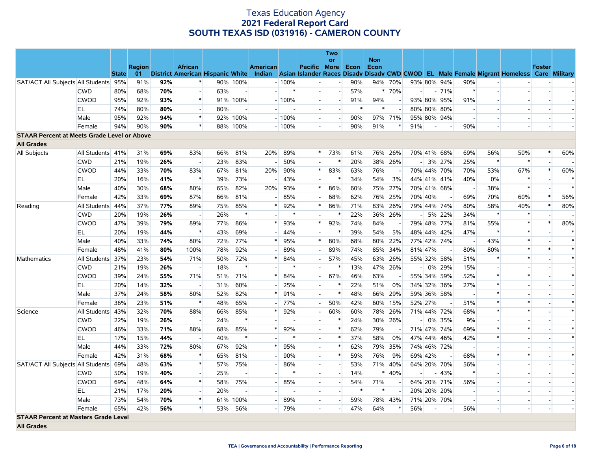|                                                    |                  |              |               |     |                          |     |          |          |         |                          | <b>Two</b><br>or         |      | <b>Non</b> |                |                          |                          |             |                          |                          |                                                                                                                                   |               |        |
|----------------------------------------------------|------------------|--------------|---------------|-----|--------------------------|-----|----------|----------|---------|--------------------------|--------------------------|------|------------|----------------|--------------------------|--------------------------|-------------|--------------------------|--------------------------|-----------------------------------------------------------------------------------------------------------------------------------|---------------|--------|
|                                                    |                  |              | <b>Region</b> |     | <b>African</b>           |     |          | American |         | Pacific More             |                          | Econ | Econ       |                |                          |                          |             |                          |                          |                                                                                                                                   | <b>Foster</b> |        |
|                                                    |                  | <b>State</b> | 01            |     |                          |     |          |          |         |                          |                          |      |            |                |                          |                          |             |                          |                          | District American Hispanic White Indian Asian Islander Races Disady Disady CWD CWOD EL Male Female Migrant Homeless Care Military |               |        |
| SAT/ACT All Subjects All Students 95%              |                  |              | 91%           | 92% |                          |     | 90% 100% |          | $-100%$ |                          | $\overline{\phantom{a}}$ | 90%  |            | 94% 70%        |                          |                          | 93% 80% 94% | 90%                      |                          |                                                                                                                                   |               |        |
|                                                    | <b>CWD</b>       | 80%          | 68%           | 70% |                          | 63% |          |          | $\ast$  | $\overline{a}$           | $\overline{a}$           | 57%  |            | * 70%          | $\overline{\phantom{a}}$ |                          | $-71%$      | $\ast$                   |                          |                                                                                                                                   |               |        |
|                                                    | <b>CWOD</b>      | 95%          | 92%           | 93% | $\ast$                   |     | 91% 100% |          | $-100%$ | $\overline{\phantom{a}}$ | $\overline{a}$           | 91%  | 94%        |                |                          |                          | 93% 80% 95% | 91%                      |                          |                                                                                                                                   |               |        |
|                                                    | EL               | 74%          | 80%           | 80% |                          | 80% |          |          |         | $\overline{\phantom{a}}$ |                          |      | $\ast$     | $\overline{a}$ |                          |                          | 80% 80% 80% |                          |                          |                                                                                                                                   |               |        |
|                                                    | Male             | 95%          | 92%           | 94% | $\ast$                   |     | 92% 100% |          | $-100%$ | $\overline{\phantom{a}}$ | $\overline{a}$           | 90%  |            | 97% 71%        |                          |                          | 95% 80% 94% |                          |                          |                                                                                                                                   |               |        |
|                                                    | Female           | 94%          | 90%           | 90% | $\ast$                   |     | 88% 100% |          | $-100%$ | $\overline{a}$           |                          | 90%  | 91%        | $\ast$         | 91%                      | $\overline{\phantom{a}}$ |             | 90%                      |                          |                                                                                                                                   |               |        |
| <b>STAAR Percent at Meets Grade Level or Above</b> |                  |              |               |     |                          |     |          |          |         |                          |                          |      |            |                |                          |                          |             |                          |                          |                                                                                                                                   |               |        |
| <b>All Grades</b>                                  |                  |              |               |     |                          |     |          |          |         |                          |                          |      |            |                |                          |                          |             |                          |                          |                                                                                                                                   |               |        |
| All Subjects                                       | All Students 41% |              | 31%           | 69% | 83%                      | 66% | 81%      | 20%      | 89%     | $\ast$                   | 73%                      | 61%  |            | 76% 26%        |                          |                          | 70% 41% 68% | 69%                      | 56%                      | 50%                                                                                                                               |               | 60%    |
|                                                    | <b>CWD</b>       | 21%          | 19%           | 26% |                          | 23% | 83%      |          | 50%     | $\overline{\phantom{a}}$ | $\ast$                   | 20%  |            | 38% 26%        |                          |                          | $-3\%$ 27%  | 25%                      | $\ast$                   | $\ast$                                                                                                                            |               |        |
|                                                    | <b>CWOD</b>      | 44%          | 33%           | 70% | 83%                      | 67% | 81%      | 20%      | 90%     | $\ast$                   | 83%                      | 63%  | 76%        | $\blacksquare$ |                          |                          | 70% 44% 70% | 70%                      | 53%                      | 67%                                                                                                                               |               | 60%    |
|                                                    | EL               | 20%          | 16%           | 41% | $\ast$                   | 39% | 73%      |          | 43%     |                          | $\ast$                   | 34%  | 54%        | 3%             |                          |                          | 44% 41% 41% | 40%                      | 0%                       | $\ast$                                                                                                                            |               | $\ast$ |
|                                                    | Male             | 40%          | 30%           | 68% | 80%                      | 65% | 82%      | 20%      | 93%     | $\ast$                   | 86%                      | 60%  |            | 75% 27%        |                          |                          | 70% 41% 68% | $\overline{\phantom{a}}$ | 38%                      | $\ast$                                                                                                                            |               | $\ast$ |
|                                                    | Female           | 42%          | 33%           | 69% | 87%                      | 66% | 81%      |          | 85%     |                          | 68%                      | 62%  |            | 76% 25%        |                          | 70% 40%                  |             | 69%                      | 70%                      | 60%                                                                                                                               |               | 56%    |
| Reading                                            | All Students 44% |              | 37%           | 77% | 89%                      | 75% | 85%      | $\ast$   | 92%     | $\ast$                   | 86%                      | 71%  |            | 83% 26%        |                          |                          | 79% 44% 74% | 80%                      | 58%                      | 40%                                                                                                                               |               | 80%    |
|                                                    | <b>CWD</b>       | 20%          | 19%           | 26% |                          | 26% | $\ast$   |          |         |                          | $\ast$                   | 22%  |            | 36% 26%        |                          |                          | $-$ 5% 22%  | 34%                      | $\ast$                   |                                                                                                                                   |               |        |
|                                                    | <b>CWOD</b>      | 47%          | 39%           | 79% | 89%                      | 77% | 86%      | $\ast$   | 93%     | $\ast$                   | 92%                      | 74%  | 84%        | $\overline{a}$ |                          |                          | 79% 48% 77% | 81%                      | 55%                      | $\ast$                                                                                                                            |               | 80%    |
|                                                    | EL               | 20%          | 19%           | 44% | $\ast$                   | 43% | 69%      |          | 44%     | $\overline{a}$           | $\ast$                   | 39%  | 54%        | 5%             |                          |                          | 48% 44% 42% | 47%                      | $\ast$                   | $\star$                                                                                                                           |               | $\ast$ |
|                                                    | Male             | 40%          | 33%           | 74% | 80%                      | 72% | 77%      | $\ast$   | 95%     | $\ast$                   | 80%                      | 68%  |            | 80% 22%        |                          |                          | 77% 42% 74% |                          | 43%                      | $\ast$                                                                                                                            |               | $\ast$ |
|                                                    | Female           | 48%          | 41%           | 80% | 100%                     | 78% | 92%      |          | 89%     |                          | 89%                      | 74%  |            | 85% 34%        |                          | 81% 47%                  |             | 80%                      | 80%                      |                                                                                                                                   |               | $\ast$ |
| Mathematics                                        | All Students 37% |              | 23%           | 54% | 71%                      | 50% | 72%      | $\ast$   | 84%     | $\overline{a}$           | 57%                      | 45%  |            | 63% 26%        |                          |                          | 55% 32% 58% | 51%                      | $\ast$                   | $\ast$                                                                                                                            |               | $\ast$ |
|                                                    | <b>CWD</b>       | 21%          | 19%           | 26% |                          | 18% |          |          |         | $\sim$                   |                          | 13%  |            | 47% 26%        |                          |                          | $-0\%$ 29%  | 15%                      |                          |                                                                                                                                   |               |        |
|                                                    | <b>CWOD</b>      | 39%          | 24%           | 55% | 71%                      | 51% | 71%      |          | 84%     | $\overline{\phantom{0}}$ | 67%                      | 46%  | 63%        |                |                          |                          | 55% 34% 59% | 52%                      | $\ast$                   | $\ast$                                                                                                                            |               | $\ast$ |
|                                                    | <b>EL</b>        | 20%          | 14%           | 32% |                          | 31% | 60%      |          | 25%     | $\overline{a}$           |                          | 22%  | 51%        | 0%             |                          |                          | 34% 32% 36% | 27%                      | $\ast$                   |                                                                                                                                   |               |        |
|                                                    | Male             | 37%          | 24%           | 58% | 80%                      | 52% | 82%      |          | 91%     | $\overline{a}$           | $\ast$                   | 48%  |            | 66% 29%        |                          |                          | 59% 36% 58% |                          | $\ast$                   |                                                                                                                                   |               |        |
|                                                    | Female           | 36%          | 23%           | 51% |                          | 48% | 65%      |          | 77%     | $\overline{\phantom{a}}$ | 50%                      | 42%  |            | 60% 15%        |                          | 52% 27%                  |             | 51%                      | $\ast$                   |                                                                                                                                   |               |        |
| Science                                            | All Students 43% |              | 32%           | 70% | 88%                      | 66% | 85%      |          | 92%     | $\overline{\phantom{a}}$ | 60%                      | 60%  |            | 78% 26%        |                          |                          | 71% 44% 72% | 68%                      | $\ast$                   | $\ast$                                                                                                                            |               | $\ast$ |
|                                                    | <b>CWD</b>       | 22%          | 19%           | 26% |                          | 24% | $\ast$   |          |         | $\overline{\phantom{a}}$ |                          | 24%  |            | 30% 26%        |                          |                          | $-10\%$ 35% | 9%                       | $\overline{\phantom{a}}$ |                                                                                                                                   |               |        |
|                                                    | <b>CWOD</b>      | 46%          | 33%           | 71% | 88%                      | 68% | 85%      | $\ast$   | 92%     | $\overline{\phantom{a}}$ | $\ast$                   | 62%  | 79%        |                |                          |                          | 71% 47% 74% | 69%                      | $\ast$                   | $\ast$                                                                                                                            |               |        |
|                                                    | EL               | 17%          | 15%           | 44% |                          | 40% | $\ast$   |          |         | $\overline{a}$           | $\ast$                   | 37%  | 58%        | 0%             |                          | 47% 44%                  | 46%         | 42%                      | $\ast$                   |                                                                                                                                   |               | $\ast$ |
|                                                    | Male             | 44%          | 33%           | 72% | 80%                      | 67% | 92%      |          | 95%     | $\overline{\phantom{a}}$ | $\ast$                   | 62%  |            | 79% 35%        |                          |                          | 74% 46% 72% |                          |                          |                                                                                                                                   |               |        |
|                                                    | Female           | 42%          | 31%           | 68% | $\ast$                   | 65% | 81%      |          | 90%     | $\overline{\phantom{a}}$ | $\ast$                   | 59%  | 76%        | 9%             |                          | 69% 42%                  |             | 68%                      | $\ast$                   | $\ast$                                                                                                                            |               | $\ast$ |
| SAT/ACT All Subjects All Students 69%              |                  |              | 48%           | 63% | $\ast$                   | 57% | 75%      |          | 86%     | $\overline{\phantom{a}}$ |                          | 53%  |            | 71% 40%        |                          |                          | 64% 20% 70% | 56%                      |                          |                                                                                                                                   |               |        |
|                                                    | <b>CWD</b>       | 50%          | 19%           | 40% |                          | 25% |          |          |         | $\overline{a}$           | $\mathbf{L}$             | 14%  |            | $* 40%$        | $\overline{a}$           | $\overline{a}$           | 43%         | $\ast$                   | $\sim$                   |                                                                                                                                   |               |        |
|                                                    | <b>CWOD</b>      | 69%          | 48%           | 64% | $\ast$                   | 58% | 75%      |          | 85%     | $\overline{\phantom{a}}$ |                          | 54%  | 71%        |                |                          |                          | 64% 20% 71% | 56%                      |                          |                                                                                                                                   |               |        |
|                                                    | EL.              | 21%          | 17%           | 20% | $\overline{\phantom{a}}$ | 20% |          |          |         | $\overline{a}$           | $\mathbf{E}$             | ∗    | $\ast$     |                |                          |                          | 20% 20% 20% |                          | $\sim$                   |                                                                                                                                   |               |        |
|                                                    | Male             | 73%          | 54%           | 70% | $\ast$                   | 61% | 100%     |          | 89%     | $\overline{\phantom{a}}$ | $\overline{a}$           | 59%  |            | 78% 43%        |                          |                          | 71% 20% 70% |                          |                          |                                                                                                                                   |               |        |
|                                                    | Female           | 65%          | 42%           | 56% | $\,$ $\,$ $\,$           | 53% | 56%      |          | 79%     | $\overline{a}$           | $\overline{\phantom{a}}$ | 47%  | 64%        | *              | 56%                      |                          |             | 56%                      |                          |                                                                                                                                   |               |        |
| <b>STAAR Percent at Masters Grade Level</b>        |                  |              |               |     |                          |     |          |          |         |                          |                          |      |            |                |                          |                          |             |                          |                          |                                                                                                                                   |               |        |

**All Grades**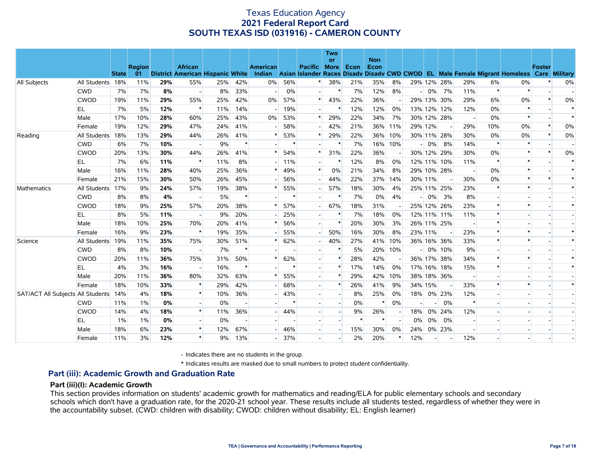|                                       |                  |              |               |     |                                         |     |        |                 |        |                          | <b>Two</b><br><b>or</b> |      | <b>Non</b> |         |         |        |             |        |        |                                                                                           |               |        |
|---------------------------------------|------------------|--------------|---------------|-----|-----------------------------------------|-----|--------|-----------------|--------|--------------------------|-------------------------|------|------------|---------|---------|--------|-------------|--------|--------|-------------------------------------------------------------------------------------------|---------------|--------|
|                                       |                  |              | <b>Region</b> |     | <b>African</b>                          |     |        | <b>American</b> |        | <b>Pacific More</b>      |                         | Econ | Econ       |         |         |        |             |        |        |                                                                                           | <b>Foster</b> |        |
|                                       |                  | <b>State</b> | 01            |     | <b>District American Hispanic White</b> |     |        | Indian          |        |                          |                         |      |            |         |         |        |             |        |        | Asian Islander Races Disady Disady CWD CWOD EL Male Female Migrant Homeless Care Military |               |        |
| <b>All Subjects</b>                   | All Students 18% |              | 11%           | 29% | 55%                                     | 25% | 42%    | 0%              | 56%    |                          | 38%                     | 21%  | 35%        | 8%      |         |        | 29% 12% 28% | 29%    | 6%     | 0%                                                                                        |               | 0%     |
|                                       | <b>CWD</b>       | 7%           | 7%            | 8%  |                                         | 8%  | 33%    |                 | 0%     |                          |                         | 7%   | 12%        | 8%      |         | $-10%$ | 7%          | 11%    | $\ast$ | $\ast$                                                                                    |               |        |
|                                       | <b>CWOD</b>      | 19%          | 11%           | 29% | 55%                                     | 25% | 42%    | 0%              | 57%    | $\ast$                   | 43%                     | 22%  | 36%        |         |         |        | 29% 13% 30% | 29%    | 6%     | 0%                                                                                        |               | 0%     |
|                                       | EL               | 7%           | 5%            | 12% | $\ast$                                  | 11% | 14%    |                 | 19%    | $\overline{\phantom{a}}$ |                         | 12%  | 12%        | 0%      |         |        | 13% 12% 12% | 12%    | 0%     | $\ast$                                                                                    |               |        |
|                                       | Male             | 17%          | 10%           | 28% | 60%                                     | 25% | 43%    | 0%              | 53%    | $\ast$                   | 29%                     | 22%  | 34%        | 7%      |         |        | 30% 12% 28% |        | 0%     | $\ast$                                                                                    |               |        |
|                                       | Female           | 19%          | 12%           | 29% | 47%                                     | 24% | 41%    |                 | 58%    |                          | 42%                     | 21%  |            | 36% 11% | 29% 12% |        |             | 29%    | 10%    | 0%                                                                                        |               | 0%     |
| Reading                               | All Students     | 18%          | 13%           | 29% | 44%                                     | 26% | 41%    |                 | 53%    | $\ast$                   | 29%                     | 22%  |            | 36% 10% |         |        | 30% 11% 28% | 30%    | 0%     | 0%                                                                                        |               | 0%     |
|                                       | <b>CWD</b>       | 6%           | 7%            | 10% |                                         | 9%  | $\ast$ |                 |        | $\overline{\phantom{a}}$ |                         | 7%   |            | 16% 10% |         | $-0\%$ | 8%          | 14%    | $\ast$ | $\ast$                                                                                    |               |        |
|                                       | <b>CWOD</b>      | 20%          | 13%           | 30% | 44%                                     | 26% | 41%    |                 | 54%    | $\ast$                   | 31%                     | 22%  | 36%        |         |         |        | 30% 12% 29% | 30%    | 0%     | $\ast$                                                                                    |               | 0%     |
|                                       | EL.              | 7%           | 6%            | 11% | $\ast$                                  | 11% | 8%     |                 | 11%    | $\overline{a}$           |                         | 12%  | 8%         | $0\%$   |         |        | 12% 11% 10% | 11%    | $\ast$ | $\ast$                                                                                    |               |        |
|                                       | Male             | 16%          | 11%           | 28% | 40%                                     | 25% | 36%    |                 | 49%    | $\ast$                   | 0%                      | 21%  | 34%        | 8%      |         |        | 29% 10% 28% |        | 0%     | $\ast$                                                                                    |               | $\ast$ |
|                                       | Female           | 21%          | 15%           | 30% | 50%                                     | 26% | 45%    |                 | 56%    |                          | 44%                     | 22%  |            | 37% 14% | 30% 11% |        |             | 30%    | 0%     |                                                                                           |               |        |
| Mathematics                           | All Students 17% |              | 9%            | 24% | 57%                                     | 19% | 38%    |                 | 55%    |                          | 57%                     | 18%  | 30%        | 4%      |         |        | 25% 11% 25% | 23%    | $\ast$ | $\ast$                                                                                    |               |        |
|                                       | <b>CWD</b>       | 8%           | 8%            | 4%  |                                         | 5%  | $\ast$ |                 | $\ast$ |                          |                         | 7%   | $0\%$      | 4%      |         | $-10%$ | 3%          | 8%     |        |                                                                                           |               |        |
|                                       | <b>CWOD</b>      | 18%          | 9%            | 25% | 57%                                     | 20% | 38%    |                 | 57%    | $\overline{\phantom{a}}$ | 67%                     | 18%  | 31%        |         |         |        | 25% 12% 26% | 23%    | $\ast$ |                                                                                           |               |        |
|                                       | EL               | 8%           | 5%            | 11% |                                         | 9%  | 20%    |                 | 25%    | $\overline{\phantom{a}}$ |                         | 7%   | 18%        | 0%      |         |        | 12% 11% 11% | 11%    |        |                                                                                           |               |        |
|                                       | Male             | 18%          | 10%           | 25% | 70%                                     | 20% | 41%    |                 | 56%    | $\overline{\phantom{a}}$ | $\ast$                  | 20%  | 30%        | 3%      |         |        | 26% 11% 25% |        | $\ast$ |                                                                                           |               |        |
|                                       | Female           | 16%          | 9%            | 23% | $\ast$                                  | 19% | 35%    |                 | 55%    |                          | 50%                     | 16%  | 30%        | 8%      | 23% 11% |        |             | 23%    | $\ast$ |                                                                                           |               |        |
| Science                               | All Students 19% |              | 11%           | 35% | 75%                                     | 30% | 51%    |                 | 62%    | $\overline{\phantom{a}}$ | 40%                     | 27%  | 41%        | 10%     |         |        | 36% 16% 36% | 33%    | $\ast$ |                                                                                           |               |        |
|                                       | <b>CWD</b>       | 8%           | 8%            | 10% |                                         | 7%  | $\ast$ |                 |        |                          |                         | 5%   |            | 20% 10% |         |        | $-0\%$ 10%  | 9%     |        |                                                                                           |               |        |
|                                       | <b>CWOD</b>      | 20%          | 11%           | 36% | 75%                                     | 31% | 50%    |                 | 62%    | $\overline{\phantom{a}}$ | $\ast$                  | 28%  | 42%        |         |         |        | 36% 17% 38% | 34%    |        |                                                                                           |               |        |
|                                       | EL               | 4%           | 3%            | 16% |                                         | 16% | $\ast$ |                 |        |                          | $\ast$                  | 17%  | 14%        | 0%      |         |        | 17% 16% 18% | 15%    | $\ast$ |                                                                                           |               |        |
|                                       | Male             | 20%          | 11%           | 36% | 80%                                     | 32% | 63%    |                 | 55%    | $\overline{\phantom{a}}$ | $\ast$                  | 29%  | 42%        | 10%     |         |        | 38% 18% 36% |        |        |                                                                                           |               |        |
|                                       | Female           | 18%          | 10%           | 33% |                                         | 29% | 42%    |                 | 68%    | $\overline{\phantom{a}}$ | $\ast$                  | 26%  | 41%        | 9%      | 34% 15% |        |             | 33%    |        | $\ast$                                                                                    |               |        |
| SAT/ACT All Subjects All Students 14% |                  |              | 4%            | 18% | $\ast$                                  | 10% | 36%    |                 | 43%    | $\overline{a}$           |                         | 8%   | 25%        | 0%      |         |        | 18% 0% 23%  | 12%    |        |                                                                                           |               |        |
|                                       | <b>CWD</b>       | 11%          | 1%            | 0%  |                                         | 0%  |        |                 | $\ast$ |                          |                         | 0%   | $\ast$     | 0%      |         |        | 0%          | $\ast$ |        |                                                                                           |               |        |
|                                       | <b>CWOD</b>      | 14%          | 4%            | 18% | $\ast$                                  | 11% | 36%    |                 | 44%    |                          |                         | 9%   | 26%        |         | 18%     |        | 0% 24%      | 12%    |        |                                                                                           |               |        |
|                                       | EL               | 1%           | 1%            | 0%  |                                         | 0%  |        |                 |        | $\overline{\phantom{a}}$ |                         |      | $\ast$     |         | 0%      | 0%     | 0%          |        |        |                                                                                           |               |        |
|                                       | Male             | 18%          | 6%            | 23% |                                         | 12% | 67%    |                 | 46%    |                          |                         | 15%  | 30%        | 0%      | 24%     |        | 0% 23%      |        |        |                                                                                           |               |        |
|                                       | Female           | 11%          | 3%            | 12% |                                         | 9%  | 13%    |                 | 37%    | $\overline{a}$           |                         | 2%   | 20%        |         | 12%     |        |             | 12%    |        |                                                                                           |               |        |

- Indicates there are no students in the group.

\* Indicates results are masked due to small numbers to protect student confidentiality.

#### **Part (iii): Academic Growth and Graduation Rate**

#### **Part (iii)(I): Academic Growth**

This section provides information on students' academic growth for mathematics and reading/ELA for public elementary schools and secondary schools which don't have a graduation rate, for the 2020-21 school year. These results include all students tested, regardless of whether they were in the accountability subset. (CWD: children with disability; CWOD: children without disability; EL: English learner)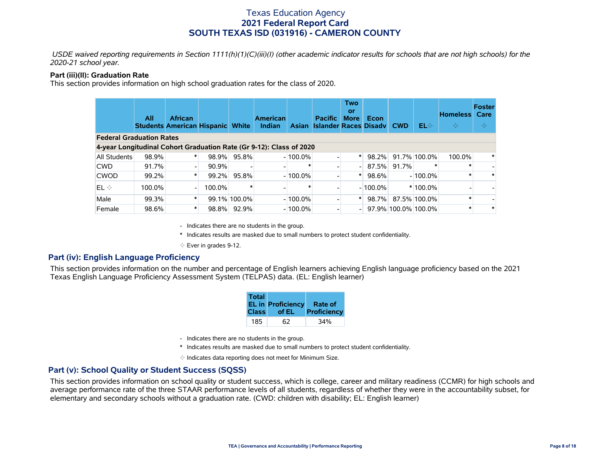*USDE waived reporting requirements in Section 1111(h)(1)(C)(iii)(I) (other academic indicator results for schools that are not high schools) for the 2020-21 school year.*

#### **Part (iii)(II): Graduation Rate**

This section provides information on high school graduation rates for the class of 2020.

|                                                                     | All    | <b>African</b><br><b>Students American Hispanic White</b> |        |              | <b>American</b><br>Indian |            | <b>Pacific</b><br>Asian Islander Races Disady CWD | <b>Two</b><br><b>or</b><br><b>More</b> | Econ       |       | $EL \diamondsuit$   | <b>Homeless</b><br>$\Leftrightarrow$ | Foster<br>Care<br>$\Leftrightarrow$ |
|---------------------------------------------------------------------|--------|-----------------------------------------------------------|--------|--------------|---------------------------|------------|---------------------------------------------------|----------------------------------------|------------|-------|---------------------|--------------------------------------|-------------------------------------|
| <b>Federal Graduation Rates</b>                                     |        |                                                           |        |              |                           |            |                                                   |                                        |            |       |                     |                                      |                                     |
| 4-year Longitudinal Cohort Graduation Rate (Gr 9-12): Class of 2020 |        |                                                           |        |              |                           |            |                                                   |                                        |            |       |                     |                                      |                                     |
| <b>All Students</b>                                                 | 98.9%  | $\ast$                                                    | 98.9%  | 95.8%        |                           | $-100.0\%$ |                                                   | $\ast$                                 | 98.2%      |       | 91.7% 100.0%        | 100.0%                               |                                     |
| <b>CWD</b>                                                          | 91.7%  |                                                           | 90.9%  |              |                           |            |                                                   | - 1                                    | 87.5%      | 91.7% |                     |                                      |                                     |
| <b>CWOD</b>                                                         | 99.2%  | $\ast$                                                    | 99.2%  | 95.8%        |                           | $-100.0\%$ |                                                   | $\ast$                                 | 98.6%      |       | $-100.0\%$          |                                      |                                     |
| $\mathsf{IEL}\Leftrightarrow$                                       | 100.0% |                                                           | 100.0% |              |                           |            |                                                   |                                        | $-100.0\%$ |       | $*100.0\%$          |                                      |                                     |
| Male                                                                | 99.3%  | $\ast$                                                    |        | 99.1% 100.0% |                           | $-100.0\%$ |                                                   | $\ast$                                 | 98.7%      |       | 87.5% 100.0%        |                                      |                                     |
| Female                                                              | 98.6%  |                                                           | 98.8%  | 92.9%        |                           | $-100.0\%$ |                                                   |                                        |            |       | 97.9% 100.0% 100.0% |                                      |                                     |

- Indicates there are no students in the group.

\* Indicates results are masked due to small numbers to protect student confidentiality.

 $\diamond$  Ever in grades 9-12.

### **Part (iv): English Language Proficiency**

This section provides information on the number and percentage of English learners achieving English language proficiency based on the 2021 Texas English Language Proficiency Assessment System (TELPAS) data. (EL: English learner)

| <b>Total</b> | <b>EL in Proficiency</b> | Rate of     |
|--------------|--------------------------|-------------|
| <b>Class</b> | of EL                    | Proficiency |
| 185          | 62                       | 34%         |

- Indicates there are no students in the group.
- \* Indicates results are masked due to small numbers to protect student confidentiality.
- $\diamond$  Indicates data reporting does not meet for Minimum Size.

### **Part (v): School Quality or Student Success (SQSS)**

This section provides information on school quality or student success, which is college, career and military readiness (CCMR) for high schools and average performance rate of the three STAAR performance levels of all students, regardless of whether they were in the accountability subset, for elementary and secondary schools without a graduation rate. (CWD: children with disability; EL: English learner)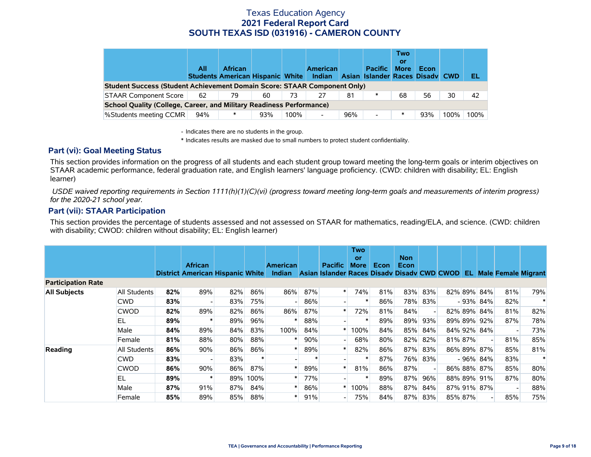|                                                                                 | All | <b>African</b><br><b>Students American Hispanic White</b> |     |      | <b>American</b><br>Indian |     | <b>Pacific</b><br>Asian Islander Races Disady CWD | Two<br>or<br><b>More</b> | Econ |      | 'EL  |
|---------------------------------------------------------------------------------|-----|-----------------------------------------------------------|-----|------|---------------------------|-----|---------------------------------------------------|--------------------------|------|------|------|
| <b>Student Success (Student Achievement Domain Score: STAAR Component Only)</b> |     |                                                           |     |      |                           |     |                                                   |                          |      |      |      |
| <b>STAAR Component Score</b>                                                    | 62  | 79                                                        | 60  | 73   |                           | 81  | $\ast$                                            | 68                       | 56   | 30   | 42   |
| School Quality (College, Career, and Military Readiness Performance)            |     |                                                           |     |      |                           |     |                                                   |                          |      |      |      |
| %Students meeting CCMR                                                          | 94% | ∗                                                         | 93% | 100% | Ξ.                        | 96% | $\overline{\phantom{0}}$                          | ∗                        | 93%  | 100% | 100% |

- Indicates there are no students in the group.

\* Indicates results are masked due to small numbers to protect student confidentiality.

### **Part (vi): Goal Meeting Status**

This section provides information on the progress of all students and each student group toward meeting the long-term goals or interim objectives on STAAR academic performance, federal graduation rate, and English learners' language proficiency. (CWD: children with disability; EL: English learner)

 *USDE waived reporting requirements in Section 1111(h)(1)(C)(vi) (progress toward meeting long-term goals and measurements of interim progress) for the 2020-21 school year.*

### **Part (vii): STAAR Participation**

This section provides the percentage of students assessed and not assessed on STAAR for mathematics, reading/ELA, and science. (CWD: children with disability; CWOD: children without disability; EL: English learner)

|                           |              |     | <b>African</b><br><b>District American Hispanic White</b> |     |        | <b>American</b><br><b>Indian</b> |        | <b>Pacific</b><br>Asian Islander Races Disady Disady CWD CWOD | <b>Two</b><br>or<br><b>More</b> | Econ | <b>Non</b><br>Econ |     | EL.     |                          | Male Female Migrant |        |
|---------------------------|--------------|-----|-----------------------------------------------------------|-----|--------|----------------------------------|--------|---------------------------------------------------------------|---------------------------------|------|--------------------|-----|---------|--------------------------|---------------------|--------|
| <b>Participation Rate</b> |              |     |                                                           |     |        |                                  |        |                                                               |                                 |      |                    |     |         |                          |                     |        |
| <b>All Subjects</b>       | All Students | 82% | 89%                                                       | 82% | 86%    | 86%                              | 87%    | ∗                                                             | 74%                             | 81%  | 83%                | 83% |         | 82% 89% 84%              | 81%                 | 79%    |
|                           | <b>CWD</b>   | 83% |                                                           | 83% | 75%    |                                  | 86%    |                                                               |                                 | 86%  | 78%                | 83% |         | $-93\%$ 84%              | 82%                 | $\ast$ |
|                           | <b>CWOD</b>  | 82% | 89%                                                       | 82% | 86%    | 86%                              | 87%    |                                                               | 72%                             | 81%  | 84%                |     |         | 82% 89% 84%              | 81%                 | 82%    |
|                           | EL           | 89% |                                                           | 89% | 96%    |                                  | 88%    |                                                               |                                 | 89%  | 89%                | 93% |         | 89% 89% 92%              | 87%                 | 78%    |
|                           | Male         | 84% | 89%                                                       | 84% | 83%    | 100%                             | 84%    |                                                               | 100%                            | 84%  | 85%                | 84% |         | 84% 92% 84%              |                     | 73%    |
|                           | Female       | 81% | 88%                                                       | 80% | 88%    |                                  | 90%    |                                                               | 68%                             | 80%  | 82%                | 82% | 81% 87% | $\overline{\phantom{a}}$ | 81%                 | 85%    |
| Reading                   | All Students | 86% | 90%                                                       | 86% | 86%    |                                  | 89%    |                                                               | 82%                             | 86%  | 87%                | 83% |         | 86% 89% 87%              | 85%                 | 81%    |
|                           | <b>CWD</b>   | 83% |                                                           | 83% | $\ast$ |                                  | $\ast$ |                                                               |                                 | 87%  | 76%                | 83% |         | $-96\%$ 84%              | 83%                 | $\ast$ |
|                           | <b>CWOD</b>  | 86% | 90%                                                       | 86% | 87%    |                                  | 89%    |                                                               | 81%                             | 86%  | 87%                |     |         | 86% 88% 87%              | 85%                 | 80%    |
|                           | EL           | 89% |                                                           | 89% | 100%   |                                  | 77%    |                                                               |                                 | 89%  | 87%                | 96% |         | 88% 89% 91%              | 87%                 | 80%    |
|                           | Male         | 87% | 91%                                                       | 87% | 84%    |                                  | 86%    |                                                               | 100%                            | 88%  | 87%                | 84% |         | 87% 91% 87%              |                     | 88%    |
|                           | Female       | 85% | 89%                                                       | 85% | 88%    |                                  | 91%    |                                                               | 75%                             | 84%  | 87%                | 83% | 85% 87% | ۰                        | 85%                 | 75%    |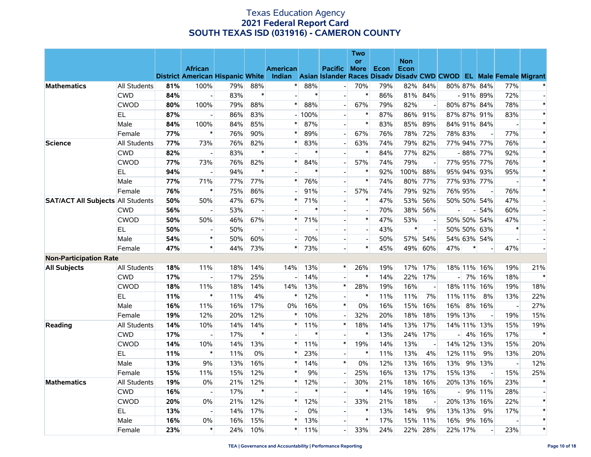|                                          |                     |     |                                                           |     |                          |                                  |        |                                                                                      | <b>Two</b>               |      |            |                          |     |         |                          |                          |                          |
|------------------------------------------|---------------------|-----|-----------------------------------------------------------|-----|--------------------------|----------------------------------|--------|--------------------------------------------------------------------------------------|--------------------------|------|------------|--------------------------|-----|---------|--------------------------|--------------------------|--------------------------|
|                                          |                     |     |                                                           |     |                          |                                  |        |                                                                                      | <b>or</b>                |      | <b>Non</b> |                          |     |         |                          |                          |                          |
|                                          |                     |     | <b>African</b><br><b>District American Hispanic White</b> |     |                          | <b>American</b><br><b>Indian</b> |        | <b>Pacific</b><br>Asian Islander Races Disady Disady CWD CWOD EL Male Female Migrant | <b>More</b>              | Econ | Econ       |                          |     |         |                          |                          |                          |
| <b>Mathematics</b>                       | <b>All Students</b> | 81% | 100%                                                      | 79% | 88%                      | $\ast$                           | 88%    |                                                                                      | 70%                      | 79%  | 82%        | 84%                      |     |         | 80% 87% 84%              | 77%                      |                          |
|                                          | <b>CWD</b>          | 84% |                                                           | 83% | $\ast$                   |                                  | $\ast$ |                                                                                      | $\ast$                   | 86%  | 81%        | 84%                      |     |         | - 91% 89%                | 72%                      |                          |
|                                          | <b>CWOD</b>         | 80% | 100%                                                      | 79% | 88%                      | $\ast$                           | 88%    | $\overline{a}$                                                                       | 67%                      | 79%  | 82%        | $\overline{\phantom{a}}$ |     |         | 80% 87% 84%              | 78%                      | $\ast$                   |
|                                          | <b>EL</b>           | 87% |                                                           | 86% | 83%                      |                                  | 100%   |                                                                                      | $\ast$                   | 87%  | 86%        | 91%                      |     | 87% 87% | 91%                      | 83%                      | $\ast$                   |
|                                          | Male                | 84% | 100%                                                      | 84% | 85%                      | $\ast$                           | 87%    |                                                                                      | $\ast$                   | 83%  | 85%        | 89%                      |     |         | 84% 91% 84%              |                          | $\ast$                   |
|                                          | Female              | 77% | $\ast$                                                    | 76% | 90%                      | $\ast$                           | 89%    |                                                                                      | 67%                      | 76%  | 78%        | 72%                      |     | 78% 83% | $\overline{\phantom{a}}$ | 77%                      | $\ast$                   |
| <b>Science</b>                           | All Students        | 77% | 73%                                                       | 76% | 82%                      | $\ast$                           | 83%    | $\overline{\phantom{a}}$                                                             | 63%                      | 74%  | 79%        | 82%                      |     |         | 77% 94% 77%              | 76%                      | $\ast$                   |
|                                          | <b>CWD</b>          | 82% |                                                           | 83% | $\ast$                   |                                  | $\ast$ |                                                                                      | $\ast$                   | 84%  | 77%        | 82%                      |     |         | - 88% 77%                | 92%                      | $\ast$                   |
|                                          | <b>CWOD</b>         | 77% | 73%                                                       | 76% | 82%                      | $\ast$                           | 84%    | $\overline{\phantom{a}}$                                                             | 57%                      | 74%  | 79%        | $\overline{a}$           |     |         | 77% 95% 77%              | 76%                      | $\ast$                   |
|                                          | <b>EL</b>           | 94% |                                                           | 94% | $\ast$                   |                                  | $\ast$ | $\overline{\phantom{a}}$                                                             | $\ast$                   | 92%  | 100%       | 88%                      |     | 95% 94% | 93%                      | 95%                      | $\ast$                   |
|                                          | Male                | 77% | 71%                                                       | 77% | 77%                      | $\ast$                           | 76%    | $\overline{a}$                                                                       | $\ast$                   | 74%  | 80%        | 77%                      |     |         | 77% 93% 77%              |                          | $\ast$                   |
|                                          | Female              | 76% | $\ast$                                                    | 75% | 86%                      |                                  | 91%    |                                                                                      | 57%                      | 74%  | 79%        | 92%                      |     | 76% 95% | $\overline{\phantom{a}}$ | 76%                      | $\ast$                   |
| <b>SAT/ACT All Subjects All Students</b> |                     | 50% | 50%                                                       | 47% | 67%                      | $\ast$                           | 71%    | $\overline{a}$                                                                       | $\ast$                   | 47%  | 53%        | 56%                      |     |         | 50% 50% 54%              | 47%                      | $\blacksquare$           |
|                                          | <b>CWD</b>          | 56% |                                                           | 53% | $\overline{\phantom{a}}$ |                                  | $\ast$ |                                                                                      | $\overline{\phantom{a}}$ | 70%  | 38%        | 56%                      |     |         | 54%                      | 60%                      | $\overline{\phantom{a}}$ |
|                                          | <b>CWOD</b>         | 50% | 50%                                                       | 46% | 67%                      | $\ast$                           | 71%    |                                                                                      | $\ast$                   | 47%  | 53%        |                          |     |         | 50% 50% 54%              | 47%                      |                          |
|                                          | EL.                 | 50% |                                                           | 50% |                          |                                  |        |                                                                                      | $\overline{\phantom{a}}$ | 43%  | $\ast$     | $\overline{a}$           |     | 50% 50% | 63%                      | $\ast$                   | $\overline{\phantom{0}}$ |
|                                          | Male                | 54% | $\ast$                                                    | 50% | 60%                      |                                  | 70%    | $\overline{\phantom{a}}$                                                             | $\overline{a}$           | 50%  | 57%        | 54%                      |     |         | 54% 63% 54%              |                          | $\overline{a}$           |
|                                          | Female              | 47% | $\ast$                                                    | 44% | 73%                      | $\ast$                           | 73%    |                                                                                      | $\ast$                   | 45%  | 49%        | 60%                      | 47% | $\ast$  | $\overline{\phantom{a}}$ | 47%                      |                          |
| <b>Non-Participation Rate</b>            |                     |     |                                                           |     |                          |                                  |        |                                                                                      |                          |      |            |                          |     |         |                          |                          |                          |
| <b>All Subjects</b>                      | All Students        | 18% | 11%                                                       | 18% | 14%                      | 14%                              | 13%    | $\ast$                                                                               | 26%                      | 19%  | 17%        | 17%                      |     |         | 18% 11% 16%              | 19%                      | 21%                      |
|                                          | <b>CWD</b>          | 17% |                                                           | 17% | 25%                      | $\blacksquare$                   | 14%    |                                                                                      | $\ast$                   | 14%  | 22%        | 17%                      |     |         | 7% 16%                   | 18%                      | $\ast$                   |
|                                          | <b>CWOD</b>         | 18% | 11%                                                       | 18% | 14%                      | 14%                              | 13%    | $\ast$                                                                               | 28%                      | 19%  | 16%        | $\overline{a}$           |     |         | 18% 11% 16%              | 19%                      | 18%                      |
|                                          | EL.                 | 11% | $\ast$                                                    | 11% | 4%                       | $\ast$                           | 12%    |                                                                                      | $\ast$                   | 11%  | 11%        | 7%                       |     | 11% 11% | 8%                       | 13%                      | 22%                      |
|                                          | Male                | 16% | 11%                                                       | 16% | 17%                      | 0%                               | 16%    | $\ast$                                                                               | 0%                       | 16%  | 15%        | 16%                      | 16% |         | 8% 16%                   | $\overline{\phantom{a}}$ | 27%                      |
|                                          | Female              | 19% | 12%                                                       | 20% | 12%                      | $\ast$                           | 10%    |                                                                                      | 32%                      | 20%  | 18%        | 18%                      |     | 19% 13% | $\sim$                   | 19%                      | 15%                      |
| Reading                                  | All Students        | 14% | 10%                                                       | 14% | 14%                      | $\ast$                           | 11%    | $\ast$                                                                               | 18%                      | 14%  | 13%        | 17%                      |     |         | 14% 11% 13%              | 15%                      | 19%                      |
|                                          | <b>CWD</b>          | 17% |                                                           | 17% | $\ast$                   |                                  | $\ast$ |                                                                                      | $\ast$                   | 13%  | 24%        | 17%                      |     |         | 4% 16%                   | 17%                      | $\overline{\phantom{a}}$ |
|                                          | <b>CWOD</b>         | 14% | 10%                                                       | 14% | 13%                      | $\ast$                           | 11%    | $\ast$                                                                               | 19%                      | 14%  | 13%        |                          |     |         | 14% 12% 13%              | 15%                      | 20%                      |
|                                          | EL.                 | 11% | $\ast$                                                    | 11% | $0\%$                    | $\ast$                           | 23%    |                                                                                      | $\ast$                   | 11%  | 13%        | 4%                       |     | 12% 11% | 9%                       | 13%                      | 20%                      |
|                                          | Male                | 13% | 9%                                                        | 13% | 16%                      | $\ast$                           | 14%    | $\ast$                                                                               | 0%                       | 12%  | 13%        | 16%                      | 13% |         | 9% 13%                   | $\sim$                   | 12%                      |
|                                          | Female              | 15% | 11%                                                       | 15% | 12%                      | $\ast$                           | 9%     |                                                                                      | 25%                      | 16%  | 13%        | 17%                      |     | 15% 13% | $\overline{\phantom{a}}$ | 15%                      | 25%                      |
| <b>Mathematics</b>                       | All Students        | 19% | 0%                                                        | 21% | 12%                      | $\ast$                           | 12%    |                                                                                      | 30%                      | 21%  | 18%        | 16%                      | 20% |         | 13% 16%                  | 23%                      | $\ast$                   |
|                                          | <b>CWD</b>          | 16% | $\overline{\phantom{a}}$                                  | 17% | $\ast$                   |                                  | $\ast$ |                                                                                      | $\ast$                   | 14%  | 19%        | 16%                      |     | 9%      | $11\%$                   | 28%                      | $\overline{\phantom{a}}$ |
|                                          | <b>CWOD</b>         | 20% | 0%                                                        | 21% | 12%                      | $\ast$                           | 12%    |                                                                                      | 33%                      | 21%  | 18%        |                          |     |         | 20% 13% 16%              | 22%                      | $\ast$                   |
|                                          | <b>EL</b>           | 13% |                                                           | 14% | 17%                      |                                  | 0%     |                                                                                      | $\ast$                   | 13%  | 14%        | 9%                       |     | 13% 13% | 9%                       | 17%                      | $\ast$                   |
|                                          | Male                | 16% | 0%                                                        | 16% | 15%                      | $\ast$                           | 13%    |                                                                                      | $\ast$                   | 17%  | 15%        | 11%                      | 16% |         | 9% 16%                   |                          | $\ast$                   |
|                                          | Female              | 23% | $\ast$                                                    | 24% | 10%                      | $\ast$                           | 11%    |                                                                                      | 33%                      | 24%  | 22%        | 28%                      |     | 22% 17% | $\overline{\phantom{a}}$ | 23%                      | $\ast$                   |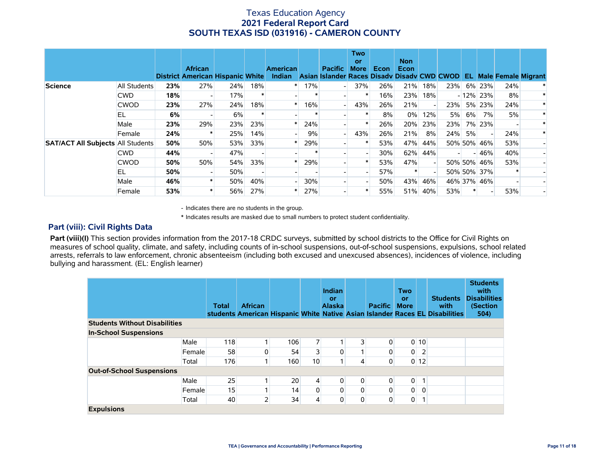|                                          |                     |     | <b>African</b><br>District American Hispanic White |     |        | <b>American</b><br>Indian |     | <b>Pacific</b><br>Asian Islander Races Disady Disady CWD CWOD | <b>Two</b><br>or<br><b>More</b> | Econ | <b>Non</b><br>Econ |     |     |       |             |     | <b>EL Male Female Migrant</b> |
|------------------------------------------|---------------------|-----|----------------------------------------------------|-----|--------|---------------------------|-----|---------------------------------------------------------------|---------------------------------|------|--------------------|-----|-----|-------|-------------|-----|-------------------------------|
| <b>Science</b>                           | <b>All Students</b> | 23% | 27%                                                | 24% | 18%    |                           | 17% |                                                               | 37%                             | 26%  | 21%                | 18% | 23% |       | 6% 23%      | 24% |                               |
|                                          | <b>CWD</b>          | 18% | $\overline{\phantom{a}}$                           | 17% | $\ast$ |                           |     |                                                               |                                 | 16%  | 23%                | 18% |     |       | $-12\%$ 23% | 8%  |                               |
|                                          | <b>CWOD</b>         | 23% | 27%                                                | 24% | 18%    |                           | 16% |                                                               | 43%                             | 26%  | 21%                |     | 23% |       | 5% 23%      | 24% |                               |
|                                          | EL                  | 6%  |                                                    | 6%  | ∗      |                           |     |                                                               |                                 | 8%   | $0\%$              | 12% | 5%  | $6\%$ | 7%          | 5%  |                               |
|                                          | Male                | 23% | 29%                                                | 23% | 23%    |                           | 24% |                                                               |                                 | 26%  | 20%                | 23% | 23% |       | 7% 23%      |     |                               |
|                                          | Female              | 24% |                                                    | 25% | 14%    |                           | 9%  |                                                               | 43%                             | 26%  | 21%                | 8%  | 24% | 5%    |             | 24% |                               |
| <b>SAT/ACT All Subjects All Students</b> |                     | 50% | 50%                                                | 53% | 33%    |                           | 29% |                                                               |                                 | 53%  | 47%                | 44% |     |       | 50% 50% 46% | 53% |                               |
|                                          | <b>CWD</b>          | 44% |                                                    | 47% |        |                           |     |                                                               |                                 | 30%  | 62%                | 44% |     |       | $-146%$     | 40% |                               |
|                                          | <b>CWOD</b>         | 50% | 50%                                                | 54% | 33%    |                           | 29% |                                                               |                                 | 53%  | 47%                |     |     |       | 50% 50% 46% | 53% |                               |
|                                          | EL                  | 50% |                                                    | 50% |        |                           |     |                                                               |                                 | 57%  | ∗                  |     |     |       | 50% 50% 37% |     |                               |
|                                          | Male                | 46% |                                                    | 50% | 40%    |                           | 30% |                                                               |                                 | 50%  | 43%                | 46% |     |       | 46% 37% 46% |     |                               |
|                                          | Female              | 53% |                                                    | 56% | 27%    |                           | 27% |                                                               |                                 | 55%  | 51%                | 40% | 53% |       |             | 53% |                               |

- Indicates there are no students in the group.

\* Indicates results are masked due to small numbers to protect student confidentiality.

#### **Part (viii): Civil Rights Data**

Part (viii)(I) This section provides information from the 2017-18 CRDC surveys, submitted by school districts to the Office for Civil Rights on measures of school quality, climate, and safety, including counts of in-school suspensions, out-of-school suspensions, expulsions, school related arrests, referrals to law enforcement, chronic absenteeism (including both excused and unexcused absences), incidences of violence, including bullying and harassment. (EL: English learner)

|                                      |        | <b>Total</b> | <b>African</b> |     |                | Indian<br>or<br><b>Alaska</b> |                | <b>Pacific</b> | <b>Two</b><br>or<br><b>More</b> |        | <b>Students</b><br>with<br>students American Hispanic White Native Asian Islander Races EL Disabilities | <b>Students</b><br>with<br><b>Disabilities</b><br>(Section<br>504) |
|--------------------------------------|--------|--------------|----------------|-----|----------------|-------------------------------|----------------|----------------|---------------------------------|--------|---------------------------------------------------------------------------------------------------------|--------------------------------------------------------------------|
| <b>Students Without Disabilities</b> |        |              |                |     |                |                               |                |                |                                 |        |                                                                                                         |                                                                    |
| <b>In-School Suspensions</b>         |        |              |                |     |                |                               |                |                |                                 |        |                                                                                                         |                                                                    |
|                                      | Male   | 118          |                | 106 | 7              |                               | 3              | 0              |                                 | 0 10   |                                                                                                         |                                                                    |
|                                      | Female | 58           | 0              | 54  |                | 0                             |                | 0              | $\overline{0}$                  | 2      |                                                                                                         |                                                                    |
|                                      | Total  | 176          |                | 160 | 10             | -1                            | 4              | 0              |                                 | $0$ 12 |                                                                                                         |                                                                    |
| <b>Out-of-School Suspensions</b>     |        |              |                |     |                |                               |                |                |                                 |        |                                                                                                         |                                                                    |
|                                      | Male   | 25           |                | 20  | $\overline{4}$ | $\overline{0}$                | $\overline{0}$ | 0              | $\overline{0}$                  | 1      |                                                                                                         |                                                                    |
|                                      | Female | 15           |                | 14  | 0              | 0                             | $\Omega$       | 0              | $\overline{0}$                  | 0      |                                                                                                         |                                                                    |
|                                      | Total  | 40           | 2              | 34  | 4              | 0                             | $\overline{0}$ | 0              | $\overline{0}$                  |        |                                                                                                         |                                                                    |
| <b>Expulsions</b>                    |        |              |                |     |                |                               |                |                |                                 |        |                                                                                                         |                                                                    |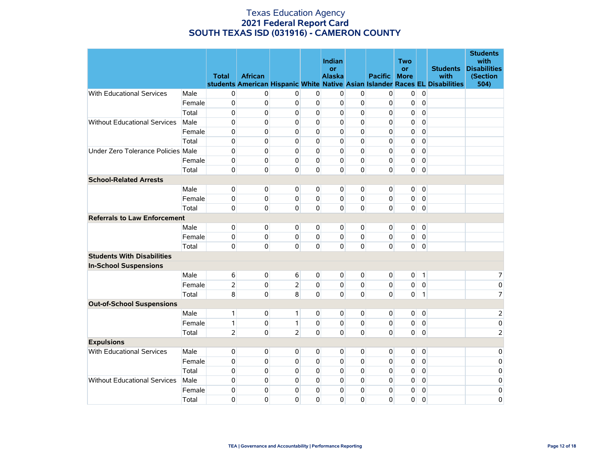|                                     |        | <b>Total</b>   | <b>African</b> |                |             | Indian<br>or<br><b>Alaska</b> |              | <b>Pacific</b> | Two<br>or<br><b>More</b> |                | <b>Students</b><br>with                                                      | <b>Students</b><br>with<br><b>Disabilities</b><br>(Section |
|-------------------------------------|--------|----------------|----------------|----------------|-------------|-------------------------------|--------------|----------------|--------------------------|----------------|------------------------------------------------------------------------------|------------------------------------------------------------|
| With Educational Services           | Male   | 0              | 0              | 0              | 0           | 0                             | 0            | 0              | 0                        | $\mathbf 0$    | students American Hispanic White Native Asian Islander Races EL Disabilities | 504)                                                       |
|                                     | Female | $\mathbf 0$    | 0              | 0              | 0           | 0                             | 0            | 0              | 0                        | $\pmb{0}$      |                                                                              |                                                            |
|                                     | Total  | $\mathbf 0$    | 0              | 0              | 0           | 0                             | 0            | 0              | 0                        | $\mathbf 0$    |                                                                              |                                                            |
| <b>Without Educational Services</b> | Male   | $\mathbf 0$    | 0              | 0              | $\mathbf 0$ | 0                             | 0            | 0              | 0                        | $\mathbf 0$    |                                                                              |                                                            |
|                                     | Female | $\mathbf 0$    | 0              | 0              | $\Omega$    | 0                             | 0            | 0              | 0                        | $\mathbf 0$    |                                                                              |                                                            |
|                                     | Total  | $\mathbf 0$    | 0              | 0              | $\Omega$    | 0                             | 0            | 0              | 0                        | $\mathbf 0$    |                                                                              |                                                            |
| Under Zero Tolerance Policies Male  |        | $\mathbf 0$    | 0              | 0              | $\Omega$    | 0                             | 0            | 0              | 0                        | $\mathbf 0$    |                                                                              |                                                            |
|                                     | Female | $\mathbf 0$    | 0              | 0              | $\Omega$    | 0                             | 0            | 0              | 0                        | $\mathbf 0$    |                                                                              |                                                            |
|                                     | Total  | $\mathbf 0$    | 0              | 0              | 0           | $\mathbf 0$                   | $\mathbf{0}$ | $\Omega$       | 0                        | $\mathbf 0$    |                                                                              |                                                            |
| <b>School-Related Arrests</b>       |        |                |                |                |             |                               |              |                |                          |                |                                                                              |                                                            |
|                                     | Male   | $\mathbf 0$    | 0              | 0              | 0           | $\mathbf{0}$                  | $\Omega$     | $\Omega$       | $\overline{0}$           | $\overline{0}$ |                                                                              |                                                            |
|                                     | Female | 0              | 0              | 0              | $\Omega$    | $\pmb{0}$                     | 0            | 0              | 0                        | $\pmb{0}$      |                                                                              |                                                            |
|                                     | Total  | $\mathbf 0$    | 0              | 0              | $\Omega$    | 0                             | 0            | 0              | $\overline{0}$           | $\mathbf 0$    |                                                                              |                                                            |
| <b>Referrals to Law Enforcement</b> |        |                |                |                |             |                               |              |                |                          |                |                                                                              |                                                            |
|                                     | Male   | $\pmb{0}$      | $\pmb{0}$      | 0              | 0           | 0                             | 0            | 0              | $\overline{0}$           | $\overline{0}$ |                                                                              |                                                            |
|                                     | Female | 0              | 0              | 0              | 0           | $\mathbf 0$                   | 0            | 0              | 0                        | $\mathbf 0$    |                                                                              |                                                            |
|                                     | Total  | $\mathbf 0$    | 0              | 0              | $\Omega$    | $\mathbf 0$                   | 0            | $\Omega$       | $\overline{0}$           | $\mathbf 0$    |                                                                              |                                                            |
| <b>Students With Disabilities</b>   |        |                |                |                |             |                               |              |                |                          |                |                                                                              |                                                            |
| <b>In-School Suspensions</b>        |        |                |                |                |             |                               |              |                |                          |                |                                                                              |                                                            |
|                                     | Male   | 6              | 0              | 6              | 0           | 0                             | 0            | $\overline{0}$ | 0                        | $\mathbf{1}$   |                                                                              | 7                                                          |
|                                     | Female | $\overline{2}$ | 0              | $\overline{2}$ | $\Omega$    | 0                             | 0            | $\mathbf 0$    | 0                        | $\mathbf 0$    |                                                                              | 0                                                          |
|                                     | Total  | 8              | 0              | 8              | $\Omega$    | $\mathbf 0$                   | $\Omega$     | 0              | $\overline{0}$           | $\mathbf{1}$   |                                                                              | $\overline{7}$                                             |
| <b>Out-of-School Suspensions</b>    |        |                |                |                |             |                               |              |                |                          |                |                                                                              |                                                            |
|                                     | Male   | $\mathbf{1}$   | $\mathbf{0}$   | 1              | 0           | $\mathbf 0$                   | 0            | 0              | 0                        | $\overline{0}$ |                                                                              | $\overline{2}$                                             |
|                                     | Female | $\mathbf{1}$   | 0              | 1              | $\Omega$    | $\mathbf 0$                   | 0            | 0              | 0                        | $\mathbf 0$    |                                                                              | $\mathbf 0$                                                |
|                                     | Total  | $\overline{2}$ | 0              | $\overline{2}$ | $\Omega$    | $\mathbf 0$                   | $\mathbf{0}$ | 0              | $\overline{0}$           | $\mathbf 0$    |                                                                              | $\overline{2}$                                             |
| <b>Expulsions</b>                   |        |                |                |                |             |                               |              |                |                          |                |                                                                              |                                                            |
| With Educational Services           | Male   | $\pmb{0}$      | $\pmb{0}$      | 0              | 0           | 0                             | 0            | 0              | 0                        | $\pmb{0}$      |                                                                              | $\mathbf 0$                                                |
|                                     | Female | $\pmb{0}$      | $\mathsf 0$    | 0              | 0           | $\mathbf 0$                   | 0            | 0              | 0                        | $\pmb{0}$      |                                                                              | $\pmb{0}$                                                  |
|                                     | Total  | $\pmb{0}$      | $\mathsf 0$    | 0              | 0           | $\mathbf 0$                   | 0            | 0              | 0                        | $\pmb{0}$      |                                                                              | $\pmb{0}$                                                  |
| <b>Without Educational Services</b> | Male   | $\pmb{0}$      | $\mathsf 0$    | 0              | 0           | 0                             | 0            | 0              | 0                        | $\pmb{0}$      |                                                                              | $\pmb{0}$                                                  |
|                                     | Female | 0              | 0              | 0              | 0           | 0                             | 0            | 0              | 0                        | 0              |                                                                              | $\mathbf 0$                                                |
|                                     | Total  | 0              | 0              | 0              | $\mathbf 0$ | $\mathbf 0$                   | 0            | 0              | 0                        | $\mathbf 0$    |                                                                              | 0                                                          |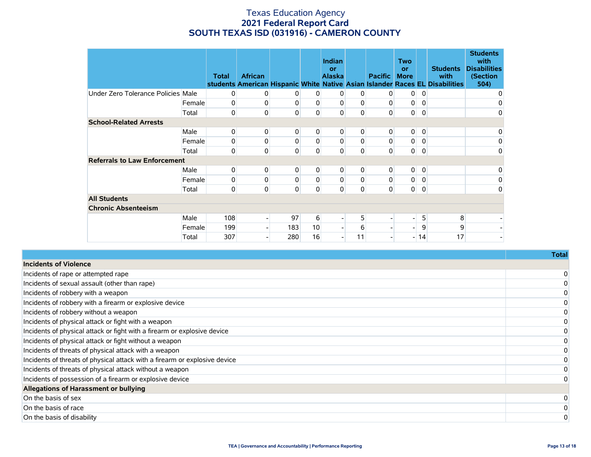|                                     |        | <b>Total</b>   | <b>African</b> |          |                  | <b>Indian</b><br>or<br><b>Alaska</b> |          | <b>Pacific</b>           | Two<br><b>or</b><br><b>More</b> |                | <b>Students</b><br>with<br>students American Hispanic White Native Asian Islander Races EL Disabilities | <b>Students</b><br>with<br><b>Disabilities</b><br>(Section<br>504) |
|-------------------------------------|--------|----------------|----------------|----------|------------------|--------------------------------------|----------|--------------------------|---------------------------------|----------------|---------------------------------------------------------------------------------------------------------|--------------------------------------------------------------------|
| Under Zero Tolerance Policies Male  |        | 0              | 0              | 0        | 0                | 0                                    | 0        | 0                        | $\overline{0}$                  | 0              |                                                                                                         | 0                                                                  |
|                                     | Female | $\overline{0}$ | 0              | 0        | 0                | 0                                    | 0        | 0                        | 0                               | 0              |                                                                                                         | 0                                                                  |
|                                     | Total  | $\overline{0}$ | 0              | 0        | 0                | 0                                    | 0        | 0                        | $\overline{0}$                  | 0              |                                                                                                         | 0                                                                  |
| <b>School-Related Arrests</b>       |        |                |                |          |                  |                                      |          |                          |                                 |                |                                                                                                         |                                                                    |
|                                     | Male   | $\overline{0}$ | 0              | 0        | $\overline{0}$   | 0                                    | 0        | 0                        | $\overline{0}$                  | $\overline{0}$ |                                                                                                         | 0                                                                  |
|                                     | Female | $\overline{0}$ | 0              | 0        | 0                | 0                                    | 0        | 0                        | $\pmb{0}$                       | 0              |                                                                                                         | 0                                                                  |
|                                     | Total  | $\mathbf 0$    | 0              | 0        | 0                | 0                                    | 0        | $\mathsf{O}\xspace$      | $\overline{0}$                  | 0              |                                                                                                         | 0                                                                  |
| <b>Referrals to Law Enforcement</b> |        |                |                |          |                  |                                      |          |                          |                                 |                |                                                                                                         |                                                                    |
|                                     | Male   | $\overline{0}$ | 0              | 0        | 0                | 0                                    | 0        | 0                        | $\mathbf 0$                     | 0              |                                                                                                         | 0                                                                  |
|                                     | Female | $\overline{0}$ | 0              | $\Omega$ | 0                | 0                                    | 0        | 0                        | 0                               | 0              |                                                                                                         | 0                                                                  |
|                                     | Total  | $\overline{0}$ | 0              | 0        | $\Omega$         | 0                                    | $\Omega$ | 0                        | $\mathbf 0$                     | 0              |                                                                                                         | $\Omega$                                                           |
| <b>All Students</b>                 |        |                |                |          |                  |                                      |          |                          |                                 |                |                                                                                                         |                                                                    |
| <b>Chronic Absenteeism</b>          |        |                |                |          |                  |                                      |          |                          |                                 |                |                                                                                                         |                                                                    |
|                                     | Male   | 108            |                | 97       | $6 \overline{6}$ |                                      | 5        | $\overline{\phantom{0}}$ | -                               | 5              | 8                                                                                                       |                                                                    |
|                                     | Female | 199            |                | 183      | 10               |                                      | 6        | $\overline{\phantom{0}}$ | $\overline{\phantom{0}}$        | 9              | 9                                                                                                       |                                                                    |
|                                     | Total  | 307            |                | 280      | 16               |                                      | 11       | $\blacksquare$           | $\overline{\phantom{0}}$        | 14             | 17                                                                                                      |                                                                    |

|                                                                            | ι υιαι |
|----------------------------------------------------------------------------|--------|
| Incidents of Violence                                                      |        |
| Incidents of rape or attempted rape                                        |        |
| Incidents of sexual assault (other than rape)                              |        |
| Incidents of robbery with a weapon                                         |        |
| Incidents of robbery with a firearm or explosive device                    |        |
| Incidents of robbery without a weapon                                      |        |
| Incidents of physical attack or fight with a weapon                        |        |
| Incidents of physical attack or fight with a firearm or explosive device   |        |
| Incidents of physical attack or fight without a weapon                     |        |
| Incidents of threats of physical attack with a weapon                      |        |
| Incidents of threats of physical attack with a firearm or explosive device |        |
| Incidents of threats of physical attack without a weapon                   |        |
| Incidents of possession of a firearm or explosive device                   |        |
| Allegations of Harassment or bullying                                      |        |
| On the basis of sex                                                        |        |
| On the basis of race                                                       |        |
| On the basis of disability                                                 |        |
|                                                                            |        |

**Total**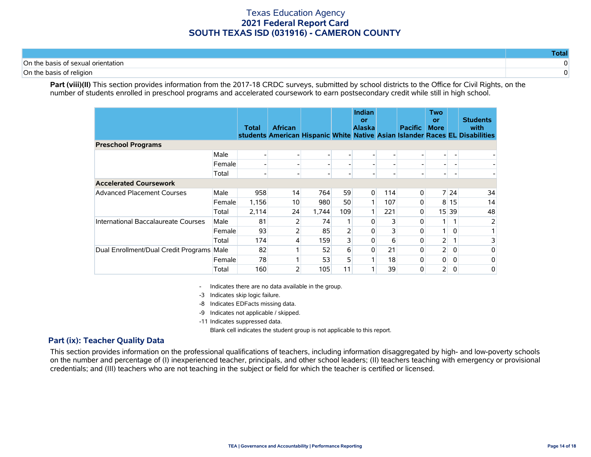| '∩n th.<br>ntation |  |
|--------------------|--|
| `∩n th.            |  |

Part (viii)(II) This section provides information from the 2017-18 CRDC surveys, submitted by school districts to the Office for Civil Rights, on the number of students enrolled in preschool programs and accelerated coursework to earn postsecondary credit while still in high school.

|                                           |        | <b>Total</b> | <b>African</b> |       |     | <b>Indian</b><br>or<br><b>Alaska</b> |     | <b>Pacific</b> | <b>Two</b><br>or<br><b>More</b> |          | <b>Students</b><br>with<br>students American Hispanic White Native Asian Islander Races EL Disabilities |
|-------------------------------------------|--------|--------------|----------------|-------|-----|--------------------------------------|-----|----------------|---------------------------------|----------|---------------------------------------------------------------------------------------------------------|
| <b>Preschool Programs</b>                 |        |              |                |       |     |                                      |     |                |                                 |          |                                                                                                         |
|                                           | Male   |              |                |       |     |                                      |     |                |                                 |          |                                                                                                         |
|                                           | Female |              |                |       |     |                                      |     |                |                                 |          |                                                                                                         |
|                                           | Total  |              |                |       |     |                                      |     |                |                                 |          |                                                                                                         |
| <b>Accelerated Coursework</b>             |        |              |                |       |     |                                      |     |                |                                 |          |                                                                                                         |
| <b>Advanced Placement Courses</b>         | Male   | 958          | 14             | 764   | 59  | $\overline{0}$                       | 114 | $\Omega$       |                                 | 7 24     | 34                                                                                                      |
|                                           | Female | 1,156        | 10             | 980   | 50  |                                      | 107 |                | 8                               | 15       | 14                                                                                                      |
|                                           | Total  | 2,114        | 24             | 1,744 | 109 |                                      | 221 | 0              |                                 | 15 39    | 48                                                                                                      |
| International Baccalaureate Courses       | Male   | 81           | 2              | 74    |     | 0                                    |     | 0              |                                 |          | 2                                                                                                       |
|                                           | Female | 93           | 2              | 85    |     | 0                                    |     | 0              |                                 | $\Omega$ |                                                                                                         |
|                                           | Total  | 174          | 4              | 159   |     | $\overline{0}$                       | 6   | 0              | $\overline{2}$                  |          | 3                                                                                                       |
| Dual Enrollment/Dual Credit Programs Male |        | 82           |                | 52    | 6   | $\overline{0}$                       | 21  | 0              | $\mathsf{2}$                    | 0        | 0                                                                                                       |
|                                           | Female | 78           |                | 53    |     |                                      | 18  | 0              | $\overline{0}$                  | 0        | 0                                                                                                       |
|                                           | Total  | 160          | 2              | 105   | 11  |                                      | 39  | 0              | $\overline{2}$                  | 0        | 0                                                                                                       |

- Indicates there are no data available in the group.

-3 Indicates skip logic failure.

-8 Indicates EDFacts missing data.

-9 Indicates not applicable / skipped.

-11 Indicates suppressed data.

Blank cell indicates the student group is not applicable to this report.

### **Part (ix): Teacher Quality Data**

This section provides information on the professional qualifications of teachers, including information disaggregated by high- and low-poverty schools on the number and percentage of (I) inexperienced teacher, principals, and other school leaders; (II) teachers teaching with emergency or provisional credentials; and (III) teachers who are not teaching in the subject or field for which the teacher is certified or licensed.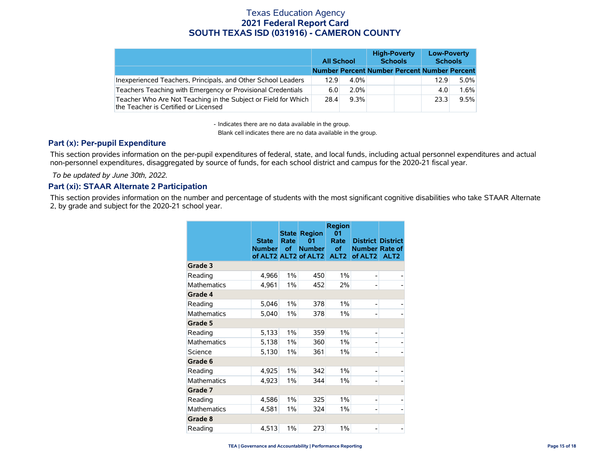|                                                                                                        |                                              | <b>All School</b> | <b>High-Poverty</b><br><b>Schools</b> | <b>Low-Poverty</b><br><b>Schools</b> |      |  |
|--------------------------------------------------------------------------------------------------------|----------------------------------------------|-------------------|---------------------------------------|--------------------------------------|------|--|
|                                                                                                        | Number Percent Number Percent Number Percent |                   |                                       |                                      |      |  |
| Inexperienced Teachers, Principals, and Other School Leaders                                           | 12.9                                         | $4.0\%$           |                                       | 12.9                                 | 5.0% |  |
| Teachers Teaching with Emergency or Provisional Credentials                                            | 6.0                                          | $2.0\%$           |                                       | 4.0                                  | 1.6% |  |
| Teacher Who Are Not Teaching in the Subject or Field for Which<br>the Teacher is Certified or Licensed | 28.4                                         | 9.3%              |                                       | 23.3                                 | 9.5% |  |

- Indicates there are no data available in the group.

Blank cell indicates there are no data available in the group.

### **Part (x): Per-pupil Expenditure**

This section provides information on the per-pupil expenditures of federal, state, and local funds, including actual personnel expenditures and actual non-personnel expenditures, disaggregated by source of funds, for each school district and campus for the 2020-21 fiscal year.

 *To be updated by June 30th, 2022.*

### **Part (xi): STAAR Alternate 2 Participation**

This section provides information on the number and percentage of students with the most significant cognitive disabilities who take STAAR Alternate 2, by grade and subject for the 2020-21 school year.

|                    | <b>State</b><br><b>Number</b> | <b>State</b><br>Rate<br><b>of</b> | <b>Region</b><br>01<br><b>Number</b><br>of ALT2 ALT2 of ALT2 | <b>Region</b><br>01<br>Rate<br>of<br>ALT <sub>2</sub> | <b>District District</b><br><b>Number Rate of</b><br>of ALT2 | ALT <sub>2</sub> |
|--------------------|-------------------------------|-----------------------------------|--------------------------------------------------------------|-------------------------------------------------------|--------------------------------------------------------------|------------------|
| Grade 3            |                               |                                   |                                                              |                                                       |                                                              |                  |
| Reading            | 4,966                         | 1%                                | 450                                                          | 1%                                                    |                                                              |                  |
| <b>Mathematics</b> | 4,961                         | $1\%$                             | 452                                                          | 2%                                                    |                                                              |                  |
| Grade 4            |                               |                                   |                                                              |                                                       |                                                              |                  |
| Reading            | 5,046                         | 1%                                | 378                                                          | 1%                                                    |                                                              |                  |
| <b>Mathematics</b> | 5,040                         | $1\%$                             | 378                                                          | $1\%$                                                 |                                                              |                  |
| Grade 5            |                               |                                   |                                                              |                                                       |                                                              |                  |
| Reading            | 5,133                         | 1%                                | 359                                                          | 1%                                                    | -                                                            |                  |
| Mathematics        | 5,138                         | $1\%$                             | 360                                                          | 1%                                                    |                                                              |                  |
| Science            | 5,130                         | $1\%$                             | 361                                                          | 1%                                                    |                                                              |                  |
| Grade 6            |                               |                                   |                                                              |                                                       |                                                              |                  |
| Reading            | 4,925                         | $1\%$                             | 342                                                          | 1%                                                    |                                                              | -                |
| <b>Mathematics</b> | 4,923                         | $1\%$                             | 344                                                          | 1%                                                    |                                                              | -                |
| Grade 7            |                               |                                   |                                                              |                                                       |                                                              |                  |
| Reading            | 4,586                         | 1%                                | 325                                                          | 1%                                                    | $\overline{\phantom{0}}$                                     |                  |
| <b>Mathematics</b> | 4,581                         | $1\%$                             | 324                                                          | 1%                                                    |                                                              | -                |
| Grade 8            |                               |                                   |                                                              |                                                       |                                                              |                  |
| Reading            | 4,513                         | $1\%$                             | 273                                                          | $1\%$                                                 |                                                              |                  |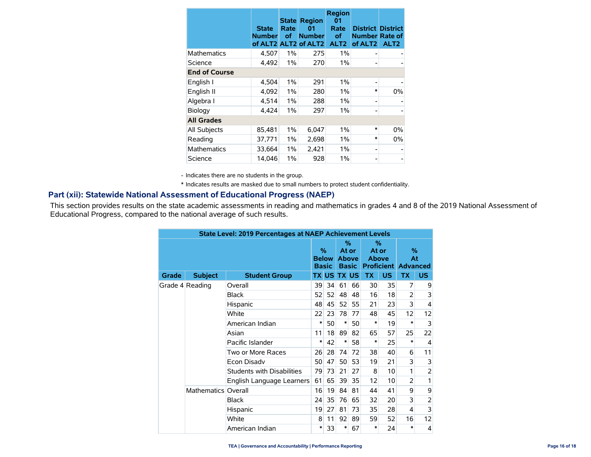|                      | <b>State</b><br><b>Number</b><br>of ALT2 ALT2 | <b>State</b><br>Rate<br>οf | <b>Region</b><br>01<br><b>Number</b><br>of ALT2 | <b>Region</b><br>01<br>Rate<br>оf<br>ALT <sub>2</sub> | <b>District District</b><br><b>Number Rate of</b><br>of ALT <sub>2</sub> | ALT <sub>2</sub> |
|----------------------|-----------------------------------------------|----------------------------|-------------------------------------------------|-------------------------------------------------------|--------------------------------------------------------------------------|------------------|
| <b>Mathematics</b>   | 4,507                                         | $1\%$                      | 275                                             | $1\%$                                                 |                                                                          |                  |
| Science              | 4,492                                         | 1%                         | 270                                             | 1%                                                    |                                                                          |                  |
| <b>End of Course</b> |                                               |                            |                                                 |                                                       |                                                                          |                  |
| English I            | 4,504                                         | 1%                         | 291                                             | $1\%$                                                 |                                                                          |                  |
| English II           | 4,092                                         | $1\%$                      | 280                                             | $1\%$                                                 | $\ast$                                                                   | 0%               |
| Algebra I            | 4,514                                         | $1\%$                      | 288                                             | 1%                                                    |                                                                          |                  |
| Biology              | 4,424                                         | 1%                         | 297                                             | $1\%$                                                 |                                                                          |                  |
| <b>All Grades</b>    |                                               |                            |                                                 |                                                       |                                                                          |                  |
| All Subjects         | 85,481                                        | $1\%$                      | 6,047                                           | 1%                                                    | $\ast$                                                                   | 0%               |
| Reading              | 37,771                                        | $1\%$                      | 2,698                                           | $1\%$                                                 | $\ast$                                                                   | 0%               |
| <b>Mathematics</b>   | 33,664                                        | $1\%$                      | 2,421                                           | $1\%$                                                 |                                                                          |                  |
| Science              | 14,046                                        | 1%                         | 928                                             | $1\%$                                                 |                                                                          |                  |

- Indicates there are no students in the group.

\* Indicates results are masked due to small numbers to protect student confidentiality.

### **Part (xii): Statewide National Assessment of Educational Progress (NAEP)**

This section provides results on the state academic assessments in reading and mathematics in grades 4 and 8 of the 2019 National Assessment of Educational Progress, compared to the national average of such results.

|                 | <b>State Level: 2019 Percentages at NAEP Achievement Levels</b> |                                   |                                      |              |                                               |           |                                                          |                 |                |                |  |  |
|-----------------|-----------------------------------------------------------------|-----------------------------------|--------------------------------------|--------------|-----------------------------------------------|-----------|----------------------------------------------------------|-----------------|----------------|----------------|--|--|
|                 |                                                                 |                                   | $\%$<br><b>Below</b><br><b>Basic</b> |              | $\%$<br>At or<br><b>Above</b><br><b>Basic</b> |           | %<br>At or<br><b>Above</b><br><b>Proficient Advanced</b> |                 | $\%$<br>At     |                |  |  |
| Grade           | <b>Subject</b>                                                  | <b>Student Group</b>              |                                      | <b>TX US</b> | <b>TX</b>                                     | <b>US</b> | <b>TX</b>                                                | <b>US</b>       | <b>TX</b>      | US.            |  |  |
| Grade 4 Reading |                                                                 | Overall                           | 39                                   | 34           | 61                                            | 66        | 30                                                       | 35              | 7              | 9              |  |  |
|                 |                                                                 | <b>Black</b>                      | 52                                   | 52           | 48                                            | 48        | 16                                                       | 18              | 2              | 3              |  |  |
|                 |                                                                 | Hispanic                          | 48                                   | 45           | 52                                            | 55        | 21                                                       | 23              | 3              | 4              |  |  |
|                 |                                                                 | White                             | 22                                   | 23           | 78                                            | 77        | 48                                                       | 45              | 12             | 12             |  |  |
|                 |                                                                 | American Indian                   | $\ast$                               | 50           | $\ast$                                        | 50        | *                                                        | 19              | $\ast$         | 3              |  |  |
|                 |                                                                 | Asian                             | 11                                   | 18           | 89                                            | 82        | 65                                                       | 57              | 25             | 22             |  |  |
|                 |                                                                 | Pacific Islander                  | ∗                                    | 42           | $\ast$                                        | 58        | *                                                        | 25              | $\ast$         | $\overline{4}$ |  |  |
|                 |                                                                 | Two or More Races                 | 26                                   | 28           | 74                                            | 72        | 38                                                       | 40              | 6              | 11             |  |  |
|                 |                                                                 | <b>Econ Disadv</b>                | 50                                   | 47           | 50                                            | 53        | 19                                                       | 21              | 3              | 3              |  |  |
|                 |                                                                 | <b>Students with Disabilities</b> | 79                                   | 73           | 21                                            | 27        | 8                                                        | 10 <sup>1</sup> | 1              | $\overline{2}$ |  |  |
|                 |                                                                 | English Language Learners         | 61                                   | 65           | 39                                            | 35        | 12                                                       | 10              | $\overline{2}$ | 1              |  |  |
|                 | Mathematics Overall                                             |                                   | 16                                   | 19           | 84                                            | 81        | 44                                                       | 41              | 9              | 9              |  |  |
|                 |                                                                 | <b>Black</b>                      | 24                                   | 35           | 76                                            | 65        | 32                                                       | 20              | 3              | $\overline{2}$ |  |  |
|                 |                                                                 | Hispanic                          | 19                                   | 27           | 81                                            | 73        | 35                                                       | 28              | 4              | 3              |  |  |
|                 |                                                                 | White                             | 8                                    | 11           | 92                                            | 89        | 59                                                       | 52              | 16             | 12             |  |  |
|                 |                                                                 | American Indian                   | $\ast$                               | 33           | $\ast$                                        | 67        | $\ast$                                                   | 24              | $\ast$         | 4              |  |  |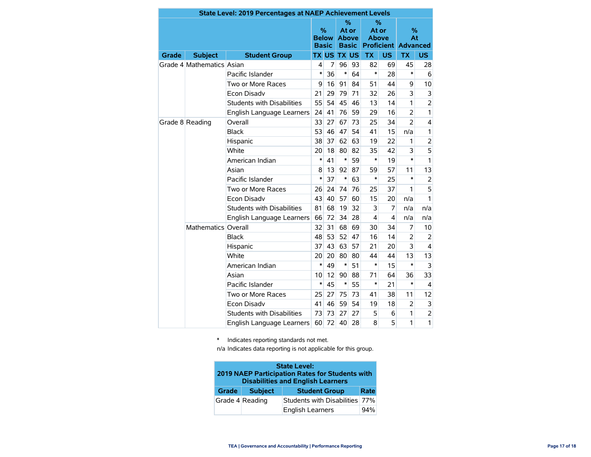|       |                           | <b>State Level: 2019 Percentages at NAEP Achievement Levels</b> |                                   |    |                                               |           |                                                             |                         |                |                         |
|-------|---------------------------|-----------------------------------------------------------------|-----------------------------------|----|-----------------------------------------------|-----------|-------------------------------------------------------------|-------------------------|----------------|-------------------------|
|       |                           |                                                                 | %<br><b>Below</b><br><b>Basic</b> |    | $\%$<br>At or<br><b>Above</b><br><b>Basic</b> |           | $\%$<br>At or<br><b>Above</b><br><b>Proficient Advanced</b> |                         | %<br>At        |                         |
| Grade | <b>Subject</b>            | <b>Student Group</b>                                            | <b>TX</b>                         |    | US TX                                         | <b>US</b> | <b>TX</b>                                                   | US.                     | <b>TX</b>      | US.                     |
|       | Grade 4 Mathematics Asian |                                                                 | 4                                 | 7  | 96                                            | 93        | 82                                                          | 69                      | 45             | 28                      |
|       |                           | Pacific Islander                                                | $\ast$                            | 36 | $\ast$                                        | 64        | *                                                           | 28                      | $\ast$         | 6                       |
|       |                           | Two or More Races                                               | 9                                 | 16 | 91                                            | 84        | 51                                                          | 44                      | 9              | 10                      |
|       |                           | Econ Disadv                                                     | 21                                | 29 | 79                                            | 71        | 32                                                          | 26                      | 3              | 3                       |
|       |                           | <b>Students with Disabilities</b>                               | 55                                | 54 | 45                                            | 46        | 13                                                          | 14                      | 1              | $\overline{2}$          |
|       |                           | English Language Learners                                       | 24                                | 41 | 76                                            | 59        | 29                                                          | 16                      | $\overline{2}$ | 1                       |
|       | Grade 8 Reading           | Overall                                                         | 33                                | 27 | 67                                            | 73        | 25                                                          | 34                      | $\overline{2}$ | 4                       |
|       |                           | <b>Black</b>                                                    | 53                                | 46 | 47                                            | 54        | 41                                                          | 15                      | n/a            | 1                       |
|       |                           | Hispanic                                                        | 38                                | 37 | 62                                            | 63        | 19                                                          | 22                      | 1              | $\overline{2}$          |
|       |                           | White                                                           | 20                                | 18 | 80                                            | 82        | 35                                                          | 42                      | 3              | 5                       |
|       |                           | American Indian                                                 | $\ast$                            | 41 | $\ast$                                        | 59        | *                                                           | 19                      | $\ast$         | 1                       |
|       |                           | Asian                                                           | 8                                 | 13 | 92                                            | 87        | 59                                                          | 57                      | 11             | 13                      |
|       |                           | Pacific Islander                                                | $\ast$                            | 37 | $\ast$                                        | 63        | $\ast$                                                      | 25                      | $\ast$         | 2                       |
|       |                           | Two or More Races                                               | 26                                | 24 | 74                                            | 76        | 25                                                          | 37                      | 1              | 5                       |
|       |                           | <b>Econ Disadv</b>                                              | 43                                | 40 | 57                                            | 60        | 15                                                          | 20                      | n/a            | 1                       |
|       |                           | Students with Disabilities                                      | 81                                | 68 | 19                                            | 32        | 3                                                           | 7                       | n/a            | n/a                     |
|       |                           | English Language Learners                                       | 66                                | 72 | 34                                            | 28        | $\overline{\mathbf{4}}$                                     | $\overline{\mathbf{4}}$ | n/a            | n/a                     |
|       | Mathematics Overall       |                                                                 | 32                                | 31 | 68                                            | 69        | 30                                                          | 34                      | 7              | 10                      |
|       |                           | <b>Black</b>                                                    | 48                                | 53 | 52                                            | 47        | 16                                                          | 14                      | $\overline{2}$ | $\overline{2}$          |
|       |                           | Hispanic                                                        | 37                                | 43 | 63                                            | 57        | 21                                                          | 20                      | 3              | $\overline{\mathbf{4}}$ |
|       |                           | White                                                           | 20                                | 20 | 80                                            | 80        | 44                                                          | 44                      | 13             | 13                      |
|       |                           | American Indian                                                 | *                                 | 49 | ∗                                             | 51        | $\ast$                                                      | 15                      | $\ast$         | 3                       |
|       |                           | Asian                                                           | 10                                | 12 | 90                                            | 88        | 71                                                          | 64                      | 36             | 33                      |
|       |                           | Pacific Islander                                                | $\ast$                            | 45 | $\ast$                                        | 55        | $\ast$                                                      | 21                      | $\ast$         | 4                       |
|       |                           | Two or More Races                                               | 25                                | 27 | 75                                            | 73        | 41                                                          | 38                      | 11             | 12                      |
|       |                           | <b>Econ Disadv</b>                                              | 41                                | 46 | 59                                            | 54        | 19                                                          | 18                      | $\overline{2}$ | 3                       |
|       |                           | <b>Students with Disabilities</b>                               | 73                                | 73 | 27                                            | 27        | 5                                                           | 6                       | 1              | $\overline{c}$          |
|       |                           | English Language Learners                                       | 60                                | 72 | 40                                            | 28        | 8                                                           | 5                       | 1              | 1                       |

\* Indicates reporting standards not met.

n/a Indicates data reporting is not applicable for this group.

| <b>State Level:</b><br>2019 NAEP Participation Rates for Students with<br><b>Disabilities and English Learners</b> |                 |                                |      |  |  |  |  |  |
|--------------------------------------------------------------------------------------------------------------------|-----------------|--------------------------------|------|--|--|--|--|--|
| <b>Grade</b>                                                                                                       | <b>Subject</b>  | <b>Student Group</b>           | Rate |  |  |  |  |  |
|                                                                                                                    | Grade 4 Reading | Students with Disabilities 77% |      |  |  |  |  |  |
|                                                                                                                    |                 | <b>English Learners</b>        | 94%  |  |  |  |  |  |